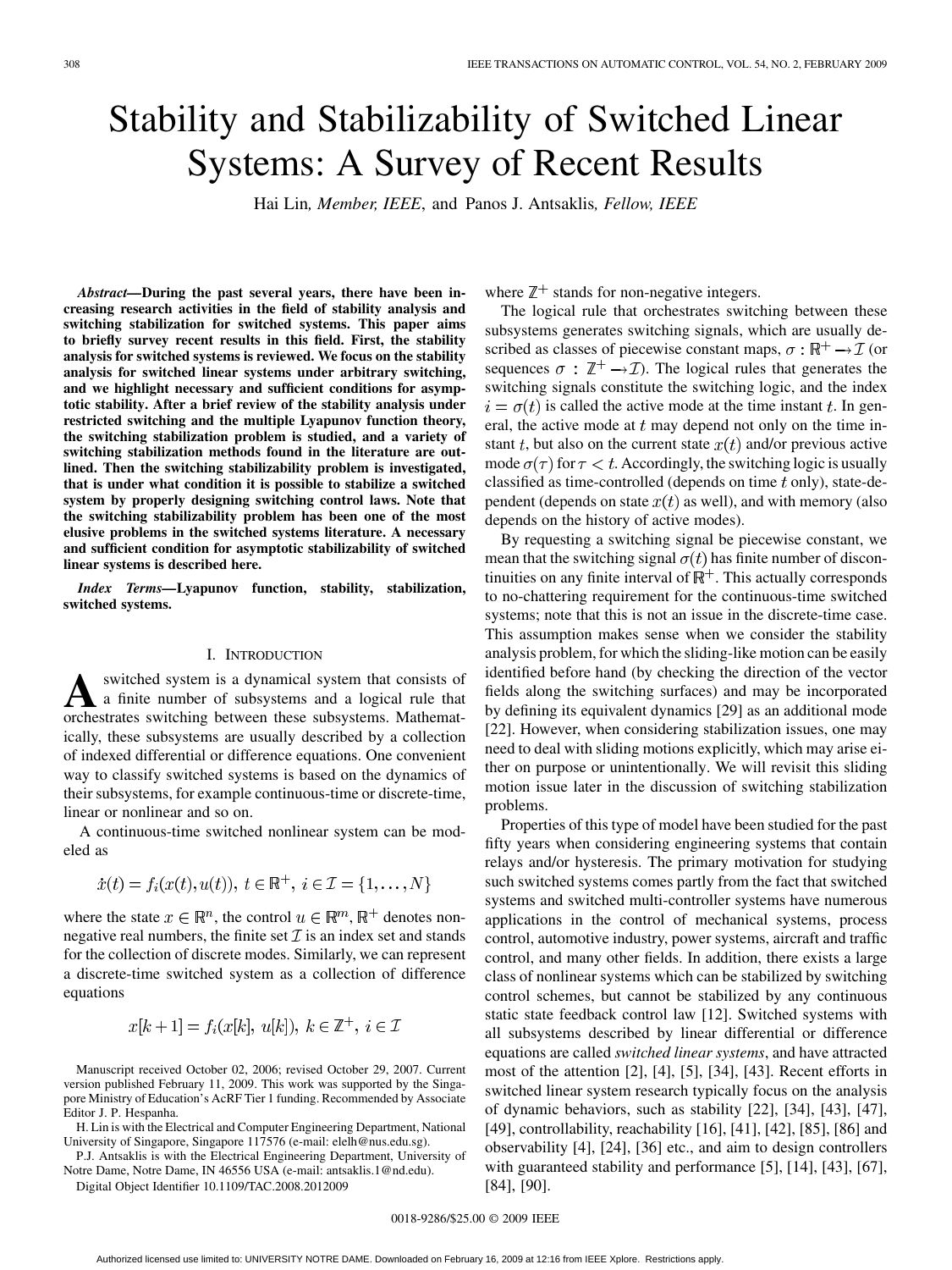# Stability and Stabilizability of Switched Linear Systems: A Survey of Recent Results

Hai Lin*, Member, IEEE*, and Panos J. Antsaklis*, Fellow, IEEE*

*Abstract—***During the past several years, there have been increasing research activities in the field of stability analysis and switching stabilization for switched systems. This paper aims to briefly survey recent results in this field. First, the stability analysis for switched systems is reviewed. We focus on the stability analysis for switched linear systems under arbitrary switching, and we highlight necessary and sufficient conditions for asymptotic stability. After a brief review of the stability analysis under restricted switching and the multiple Lyapunov function theory, the switching stabilization problem is studied, and a variety of switching stabilization methods found in the literature are outlined. Then the switching stabilizability problem is investigated, that is under what condition it is possible to stabilize a switched system by properly designing switching control laws. Note that the switching stabilizability problem has been one of the most elusive problems in the switched systems literature. A necessary and sufficient condition for asymptotic stabilizability of switched linear systems is described here.**

*Index Terms—***Lyapunov function, stability, stabilization, switched systems.**

#### I. INTRODUCTION

Aswitched system is a dynamical system that consists of a finite number of subsystems and a logical rule that orchestrates switching between these subsystems. Mathematically, these subsystems are usually described by a collection of indexed differential or difference equations. One convenient way to classify switched systems is based on the dynamics of their subsystems, for example continuous-time or discrete-time, linear or nonlinear and so on.

A continuous-time switched nonlinear system can be modeled as

$$
\dot{x}(t) = f_i(x(t), u(t)), \ t \in \mathbb{R}^+, \ i \in \mathcal{I} = \{1, \dots, N\}
$$

where the state  $x \in \mathbb{R}^n$ , the control  $u \in \mathbb{R}^m$ ,  $\mathbb{R}^+$  denotes nonnegative real numbers, the finite set  $\mathcal I$  is an index set and stands for the collection of discrete modes. Similarly, we can represent a discrete-time switched system as a collection of difference equations

$$
x[k+1] = f_i(x[k], u[k]), k \in \mathbb{Z}^+, i \in \mathcal{I}
$$

Manuscript received October 02, 2006; revised October 29, 2007. Current version published February 11, 2009. This work was supported by the Singapore Ministry of Education's AcRF Tier 1 funding. Recommended by Associate Editor J. P. Hespanha.

H. Lin is with the Electrical and Computer Engineering Department, National University of Singapore, Singapore 117576 (e-mail: elelh@nus.edu.sg).

P.J. Antsaklis is with the Electrical Engineering Department, University of Notre Dame, Notre Dame, IN 46556 USA (e-mail: antsaklis.1@nd.edu).

Digital Object Identifier 10.1109/TAC.2008.2012009

where  $\mathbb{Z}^+$  stands for non-negative integers.

The logical rule that orchestrates switching between these subsystems generates switching signals, which are usually described as classes of piecewise constant maps,  $\sigma : \mathbb{R}^+ \to \mathcal{I}$  (or sequences  $\sigma : \mathbb{Z}^+ \rightarrow \mathcal{I}$ . The logical rules that generates the switching signals constitute the switching logic, and the index  $i = \sigma(t)$  is called the active mode at the time instant t. In general, the active mode at  $t$  may depend not only on the time instant t, but also on the current state  $x(t)$  and/or previous active mode  $\sigma(\tau)$  for  $\tau < t$ . Accordingly, the switching logic is usually classified as time-controlled (depends on time  $t$  only), state-dependent (depends on state  $x(t)$  as well), and with memory (also depends on the history of active modes).

By requesting a switching signal be piecewise constant, we mean that the switching signal  $\sigma(t)$  has finite number of discontinuities on any finite interval of  $\mathbb{R}^+$ . This actually corresponds to no-chattering requirement for the continuous-time switched systems; note that this is not an issue in the discrete-time case. This assumption makes sense when we consider the stability analysis problem, for which the sliding-like motion can be easily identified before hand (by checking the direction of the vector fields along the switching surfaces) and may be incorporated by defining its equivalent dynamics [29] as an additional mode [22]. However, when considering stabilization issues, one may need to deal with sliding motions explicitly, which may arise either on purpose or unintentionally. We will revisit this sliding motion issue later in the discussion of switching stabilization problems.

Properties of this type of model have been studied for the past fifty years when considering engineering systems that contain relays and/or hysteresis. The primary motivation for studying such switched systems comes partly from the fact that switched systems and switched multi-controller systems have numerous applications in the control of mechanical systems, process control, automotive industry, power systems, aircraft and traffic control, and many other fields. In addition, there exists a large class of nonlinear systems which can be stabilized by switching control schemes, but cannot be stabilized by any continuous static state feedback control law [12]. Switched systems with all subsystems described by linear differential or difference equations are called *switched linear systems*, and have attracted most of the attention [2], [4], [5], [34], [43]. Recent efforts in switched linear system research typically focus on the analysis of dynamic behaviors, such as stability [22], [34], [43], [47], [49], controllability, reachability [16], [41], [42], [85], [86] and observability [4], [24], [36] etc., and aim to design controllers with guaranteed stability and performance [5], [14], [43], [67], [84], [90].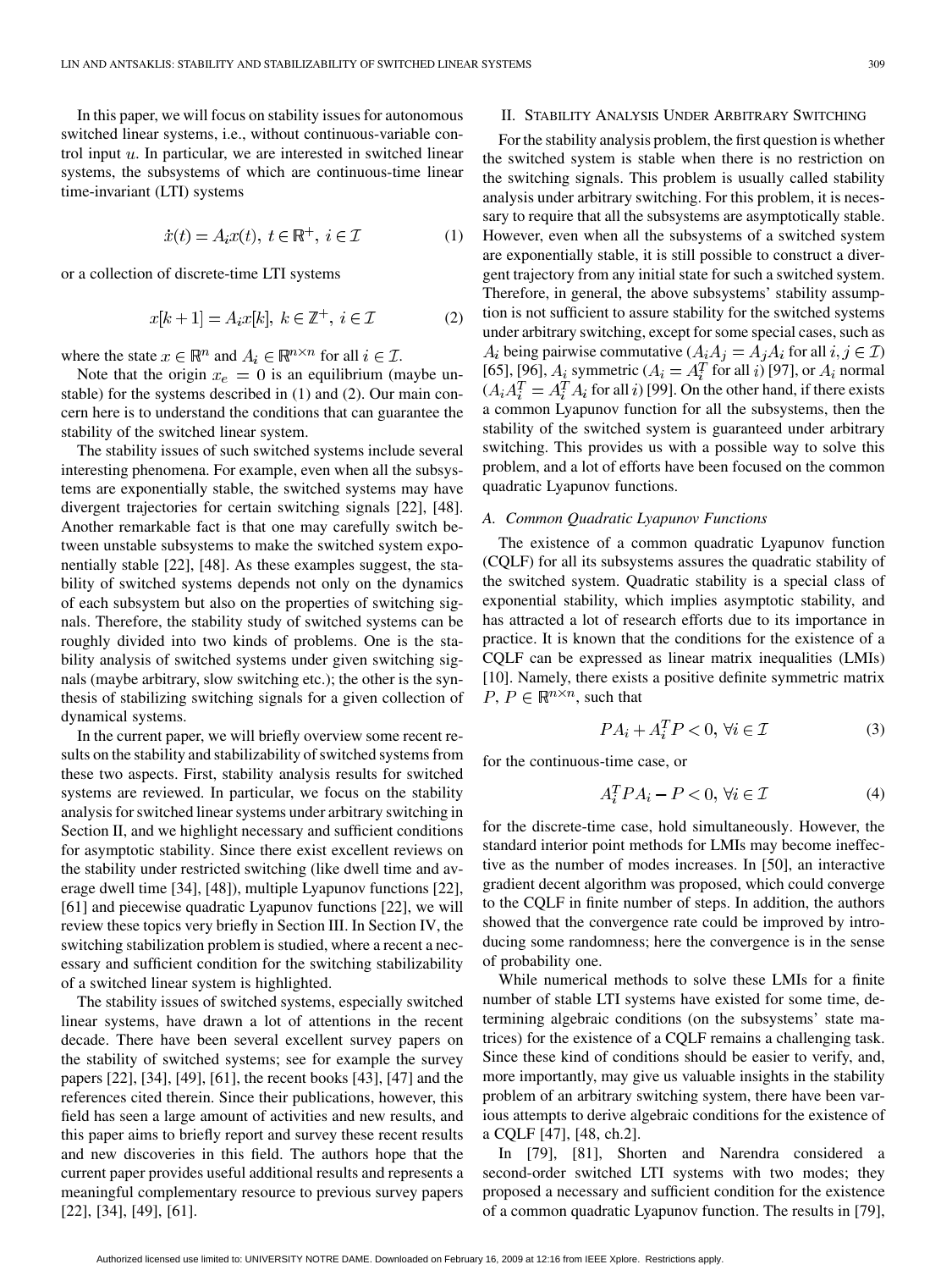In this paper, we will focus on stability issues for autonomous switched linear systems, i.e., without continuous-variable control input  $u$ . In particular, we are interested in switched linear systems, the subsystems of which are continuous-time linear time-invariant (LTI) systems

$$
\dot{x}(t) = A_i x(t), \ t \in \mathbb{R}^+, \ i \in \mathcal{I}
$$
 (1)

or a collection of discrete-time LTI systems

$$
x[k+1] = A_i x[k], \ k \in \mathbb{Z}^+, \ i \in \mathcal{I}
$$
 (2)

where the state  $x \in \mathbb{R}^n$  and  $A_i \in \mathbb{R}^{n \times n}$  for all  $i \in \mathcal{I}$ .

Note that the origin  $x_e = 0$  is an equilibrium (maybe unstable) for the systems described in (1) and (2). Our main concern here is to understand the conditions that can guarantee the stability of the switched linear system.

The stability issues of such switched systems include several interesting phenomena. For example, even when all the subsystems are exponentially stable, the switched systems may have divergent trajectories for certain switching signals [22], [48]. Another remarkable fact is that one may carefully switch between unstable subsystems to make the switched system exponentially stable [22], [48]. As these examples suggest, the stability of switched systems depends not only on the dynamics of each subsystem but also on the properties of switching signals. Therefore, the stability study of switched systems can be roughly divided into two kinds of problems. One is the stability analysis of switched systems under given switching signals (maybe arbitrary, slow switching etc.); the other is the synthesis of stabilizing switching signals for a given collection of dynamical systems.

In the current paper, we will briefly overview some recent results on the stability and stabilizability of switched systems from these two aspects. First, stability analysis results for switched systems are reviewed. In particular, we focus on the stability analysis for switched linear systems under arbitrary switching in Section II, and we highlight necessary and sufficient conditions for asymptotic stability. Since there exist excellent reviews on the stability under restricted switching (like dwell time and average dwell time [34], [48]), multiple Lyapunov functions [22], [61] and piecewise quadratic Lyapunov functions [22], we will review these topics very briefly in Section III. In Section IV, the switching stabilization problem is studied, where a recent a necessary and sufficient condition for the switching stabilizability of a switched linear system is highlighted.

The stability issues of switched systems, especially switched linear systems, have drawn a lot of attentions in the recent decade. There have been several excellent survey papers on the stability of switched systems; see for example the survey papers [22], [34], [49], [61], the recent books [43], [47] and the references cited therein. Since their publications, however, this field has seen a large amount of activities and new results, and this paper aims to briefly report and survey these recent results and new discoveries in this field. The authors hope that the current paper provides useful additional results and represents a meaningful complementary resource to previous survey papers [22], [34], [49], [61].

## II. STABILITY ANALYSIS UNDER ARBITRARY SWITCHING

For the stability analysis problem, the first question is whether the switched system is stable when there is no restriction on the switching signals. This problem is usually called stability analysis under arbitrary switching. For this problem, it is necessary to require that all the subsystems are asymptotically stable. However, even when all the subsystems of a switched system are exponentially stable, it is still possible to construct a divergent trajectory from any initial state for such a switched system. Therefore, in general, the above subsystems' stability assumption is not sufficient to assure stability for the switched systems under arbitrary switching, except for some special cases, such as  $A_i$  being pairwise commutative ( $A_i A_j = A_j A_i$  for all  $i, j \in \mathcal{I}$ ) [65], [96],  $A_i$  symmetric  $(A_i = A_i^T$  for all i) [97], or  $A_i$  normal  $(A_i A_i^T = A_i^T A_i$  for all i) [99]. On the other hand, if there exists a common Lyapunov function for all the subsystems, then the stability of the switched system is guaranteed under arbitrary switching. This provides us with a possible way to solve this problem, and a lot of efforts have been focused on the common quadratic Lyapunov functions.

#### *A. Common Quadratic Lyapunov Functions*

The existence of a common quadratic Lyapunov function (CQLF) for all its subsystems assures the quadratic stability of the switched system. Quadratic stability is a special class of exponential stability, which implies asymptotic stability, and has attracted a lot of research efforts due to its importance in practice. It is known that the conditions for the existence of a CQLF can be expressed as linear matrix inequalities (LMIs) [10]. Namely, there exists a positive definite symmetric matrix  $P, P \in \mathbb{R}^{n \times n}$ , such that

$$
PA_i + A_i^T P < 0, \,\forall i \in \mathcal{I} \tag{3}
$$

for the continuous-time case, or

$$
A_i^T P A_i - P < 0, \ \forall i \in \mathcal{I} \tag{4}
$$

for the discrete-time case, hold simultaneously. However, the standard interior point methods for LMIs may become ineffective as the number of modes increases. In [50], an interactive gradient decent algorithm was proposed, which could converge to the CQLF in finite number of steps. In addition, the authors showed that the convergence rate could be improved by introducing some randomness; here the convergence is in the sense of probability one.

While numerical methods to solve these LMIs for a finite number of stable LTI systems have existed for some time, determining algebraic conditions (on the subsystems' state matrices) for the existence of a CQLF remains a challenging task. Since these kind of conditions should be easier to verify, and, more importantly, may give us valuable insights in the stability problem of an arbitrary switching system, there have been various attempts to derive algebraic conditions for the existence of a CQLF [47], [48, ch.2].

In [79], [81], Shorten and Narendra considered a second-order switched LTI systems with two modes; they proposed a necessary and sufficient condition for the existence of a common quadratic Lyapunov function. The results in [79],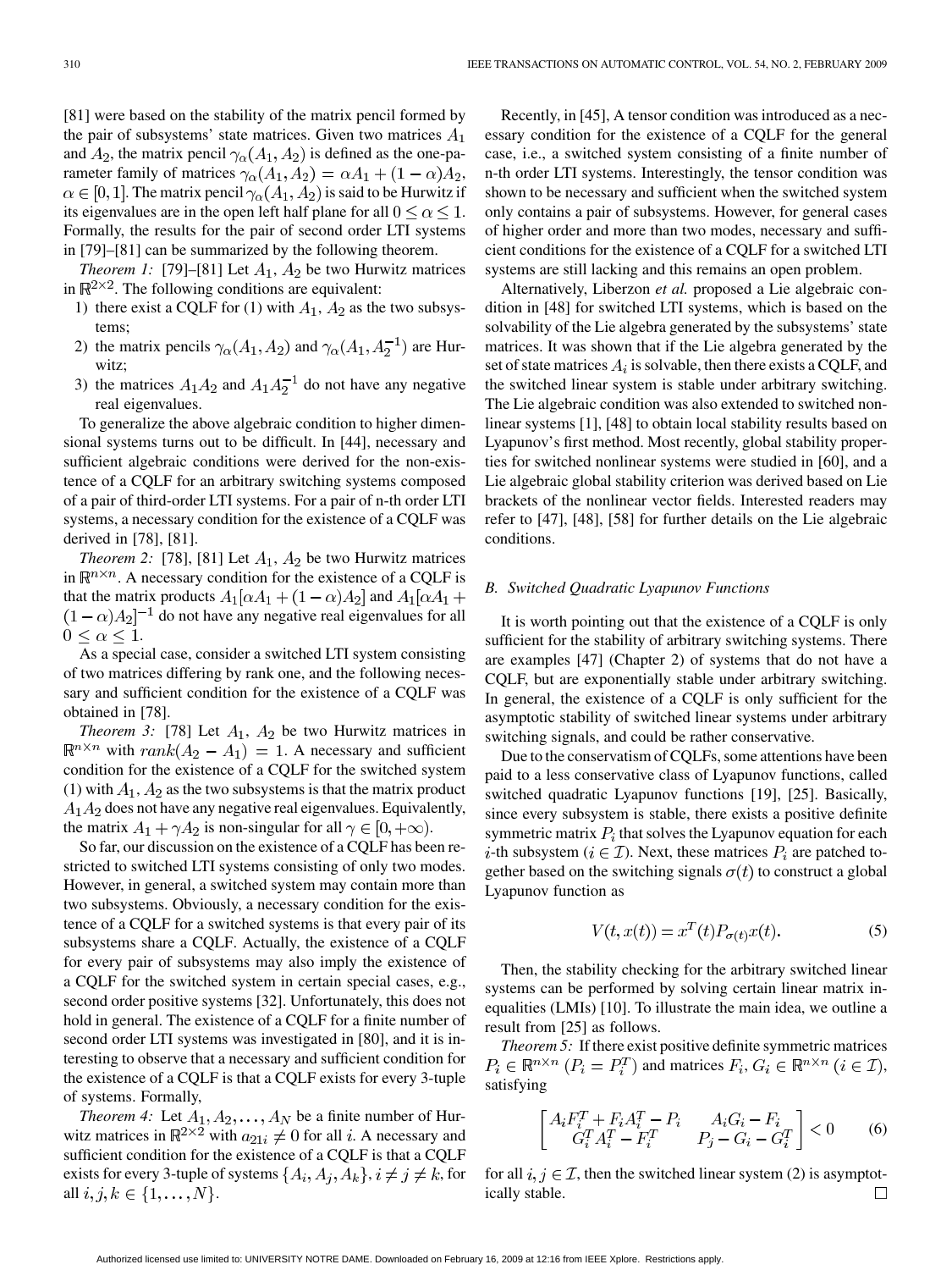[81] were based on the stability of the matrix pencil formed by the pair of subsystems' state matrices. Given two matrices  $A_1$ and  $A_2$ , the matrix pencil  $\gamma_\alpha(A_1, A_2)$  is defined as the one-parameter family of matrices  $\gamma_{\alpha}(A_1, A_2) = \alpha A_1 + (1 - \alpha) A_2$ ,  $\alpha \in [0, 1]$ . The matrix pencil  $\gamma_{\alpha}(A_1, A_2)$  is said to be Hurwitz if its eigenvalues are in the open left half plane for all  $0 \le \alpha \le 1$ . Formally, the results for the pair of second order LTI systems in [79]–[81] can be summarized by the following theorem.

*Theorem 1:* [79]–[81] Let  $A_1$ ,  $A_2$  be two Hurwitz matrices in  $\mathbb{R}^{2\times 2}$ . The following conditions are equivalent:

- 1) there exist a CQLF for (1) with  $A_1$ ,  $A_2$  as the two subsystems;
- 2) the matrix pencils  $\gamma_{\alpha}(A_1, A_2)$  and  $\gamma_{\alpha}(A_1, A_2^{-1})$  are Hurwitz;
- 3) the matrices  $A_1 A_2$  and  $A_1 A_2^{-1}$  do not have any negative real eigenvalues.

To generalize the above algebraic condition to higher dimensional systems turns out to be difficult. In [44], necessary and sufficient algebraic conditions were derived for the non-existence of a CQLF for an arbitrary switching systems composed of a pair of third-order LTI systems. For a pair of n-th order LTI systems, a necessary condition for the existence of a CQLF was derived in [78], [81].

*Theorem 2:* [78], [81] Let  $A_1$ ,  $A_2$  be two Hurwitz matrices in  $\mathbb{R}^{n \times n}$ . A necessary condition for the existence of a CQLF is that the matrix products  $A_1[\alpha A_1 + (1-\alpha)A_2]$  and  $A_1[\alpha A_1 +$  $(1 - \alpha)A_2$ <sup>-1</sup> do not have any negative real eigenvalues for all  $0 \leq \alpha \leq 1$ .

As a special case, consider a switched LTI system consisting of two matrices differing by rank one, and the following necessary and sufficient condition for the existence of a CQLF was obtained in [78].

*Theorem 3:* [78] Let  $A_1$ ,  $A_2$  be two Hurwitz matrices in  $\mathbb{R}^{n \times n}$  with  $rank(A_2 - A_1) = 1$ . A necessary and sufficient condition for the existence of a CQLF for the switched system (1) with  $A_1$ ,  $A_2$  as the two subsystems is that the matrix product  $A_1A_2$  does not have any negative real eigenvalues. Equivalently, the matrix  $A_1 + \gamma A_2$  is non-singular for all  $\gamma \in [0, +\infty)$ .

So far, our discussion on the existence of a CQLF has been restricted to switched LTI systems consisting of only two modes. However, in general, a switched system may contain more than two subsystems. Obviously, a necessary condition for the existence of a CQLF for a switched systems is that every pair of its subsystems share a CQLF. Actually, the existence of a CQLF for every pair of subsystems may also imply the existence of a CQLF for the switched system in certain special cases, e.g., second order positive systems [32]. Unfortunately, this does not hold in general. The existence of a CQLF for a finite number of second order LTI systems was investigated in [80], and it is interesting to observe that a necessary and sufficient condition for the existence of a CQLF is that a CQLF exists for every 3-tuple of systems. Formally,

*Theorem 4:* Let  $A_1, A_2, \ldots, A_N$  be a finite number of Hurwitz matrices in  $\mathbb{R}^{2\times 2}$  with  $a_{21i} \neq 0$  for all i. A necessary and sufficient condition for the existence of a CQLF is that a CQLF exists for every 3-tuple of systems  $\{A_i, A_j, A_k\}, i \neq j \neq k$ , for all  $i, j, k \in \{1, ..., N\}$ .

Recently, in [45], A tensor condition was introduced as a necessary condition for the existence of a CQLF for the general case, i.e., a switched system consisting of a finite number of n-th order LTI systems. Interestingly, the tensor condition was shown to be necessary and sufficient when the switched system only contains a pair of subsystems. However, for general cases of higher order and more than two modes, necessary and sufficient conditions for the existence of a CQLF for a switched LTI systems are still lacking and this remains an open problem.

Alternatively, Liberzon *et al.* proposed a Lie algebraic condition in [48] for switched LTI systems, which is based on the solvability of the Lie algebra generated by the subsystems' state matrices. It was shown that if the Lie algebra generated by the set of state matrices  $A_i$  is solvable, then there exists a CQLF, and the switched linear system is stable under arbitrary switching. The Lie algebraic condition was also extended to switched nonlinear systems [1], [48] to obtain local stability results based on Lyapunov's first method. Most recently, global stability properties for switched nonlinear systems were studied in [60], and a Lie algebraic global stability criterion was derived based on Lie brackets of the nonlinear vector fields. Interested readers may refer to [47], [48], [58] for further details on the Lie algebraic conditions.

## *B. Switched Quadratic Lyapunov Functions*

It is worth pointing out that the existence of a CQLF is only sufficient for the stability of arbitrary switching systems. There are examples [47] (Chapter 2) of systems that do not have a CQLF, but are exponentially stable under arbitrary switching. In general, the existence of a CQLF is only sufficient for the asymptotic stability of switched linear systems under arbitrary switching signals, and could be rather conservative.

Due to the conservatism of CQLFs, some attentions have been paid to a less conservative class of Lyapunov functions, called switched quadratic Lyapunov functions [19], [25]. Basically, since every subsystem is stable, there exists a positive definite symmetric matrix  $P_i$  that solves the Lyapunov equation for each *i*-th subsystem ( $i \in \mathcal{I}$ ). Next, these matrices  $P_i$  are patched together based on the switching signals  $\sigma(t)$  to construct a global Lyapunov function as

$$
V(t, x(t)) = xT(t)P\sigma(t)x(t).
$$
 (5)

Then, the stability checking for the arbitrary switched linear systems can be performed by solving certain linear matrix inequalities (LMIs) [10]. To illustrate the main idea, we outline a result from [25] as follows.

*Theorem 5:* If there exist positive definite symmetric matrices  $P_i \in \mathbb{R}^{n \times n}$   $(P_i = P_i^T)$  and matrices  $F_i, G_i \in \mathbb{R}^{n \times n}$   $(i \in \mathcal{I}),$ satisfying

$$
\begin{bmatrix} A_i F_i^T + F_i A_i^T - P_i & A_i G_i - F_i \\ G_i^T A_i^T - F_i^T & P_j - G_i - G_i^T \end{bmatrix} < 0
$$
 (6)

for all  $i, j \in \mathcal{I}$ , then the switched linear system (2) is asymptotically stable.  $\Box$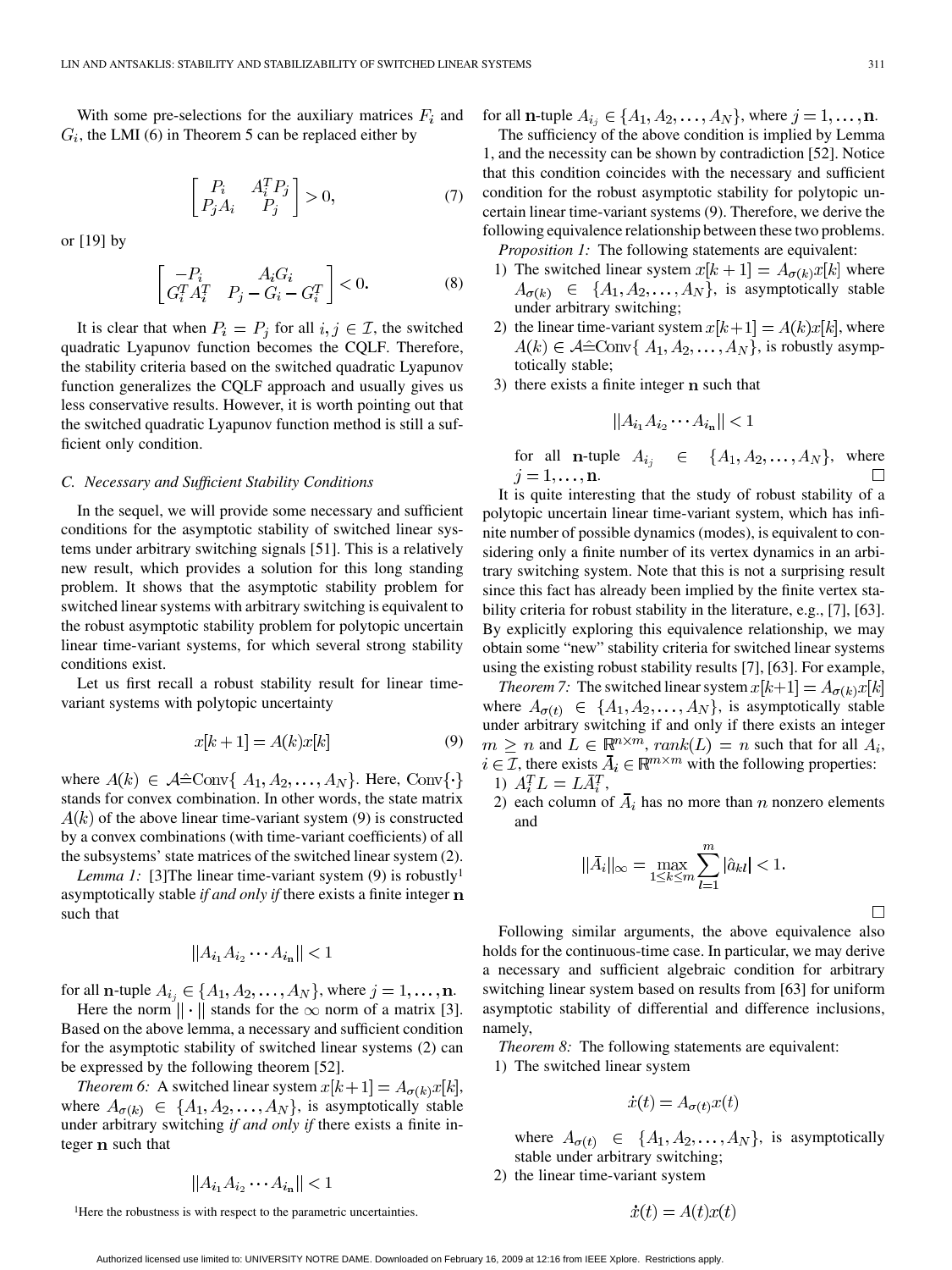With some pre-selections for the auxiliary matrices  $F_i$  and  $G_i$ , the LMI (6) in Theorem 5 can be replaced either by

$$
\begin{bmatrix} P_i & A_i^T P_j \\ P_j A_i & P_j \end{bmatrix} > 0,
$$
\n(7)

or [19] by

$$
\begin{bmatrix} -P_i & A_i G_i \\ G_i^T A_i^T & P_j - G_i - G_i^T \end{bmatrix} < 0. \tag{8}
$$

It is clear that when  $P_i = P_j$  for all  $i, j \in \mathcal{I}$ , the switched quadratic Lyapunov function becomes the CQLF. Therefore, the stability criteria based on the switched quadratic Lyapunov function generalizes the CQLF approach and usually gives us less conservative results. However, it is worth pointing out that the switched quadratic Lyapunov function method is still a sufficient only condition.

### *C. Necessary and Sufficient Stability Conditions*

In the sequel, we will provide some necessary and sufficient conditions for the asymptotic stability of switched linear systems under arbitrary switching signals [51]. This is a relatively new result, which provides a solution for this long standing problem. It shows that the asymptotic stability problem for switched linear systems with arbitrary switching is equivalent to the robust asymptotic stability problem for polytopic uncertain linear time-variant systems, for which several strong stability conditions exist.

Let us first recall a robust stability result for linear timevariant systems with polytopic uncertainty

$$
x[k+1] = A(k)x[k] \tag{9}
$$

where  $A(k) \in \mathcal{A} \triangleq \text{Conv} \{ A_1, A_2, \ldots, A_N \}.$  Here, Conv $\{\cdot\}$ stands for convex combination. In other words, the state matrix  $A(k)$  of the above linear time-variant system (9) is constructed by a convex combinations (with time-variant coefficients) of all the subsystems' state matrices of the switched linear system (2).

*Lemma 1:* [3] The linear time-variant system (9) is robustly<sup>1</sup> asymptotically stable *if and only if* there exists a finite integer such that

$$
||A_{i_1}A_{i_2}\cdots A_{i_n}||<1
$$

for all **n**-tuple  $A_{i_j} \in \{A_1, A_2, \ldots, A_N\}$ , where  $j = 1, \ldots, n$ .

Here the norm  $\|\cdot\|$  stands for the  $\infty$  norm of a matrix [3]. Based on the above lemma, a necessary and sufficient condition for the asymptotic stability of switched linear systems (2) can be expressed by the following theorem [52].

*Theorem 6:* A switched linear system  $x[k+1] = A_{\sigma(k)}x[k]$ , where  $A_{\sigma(k)} \in \{A_1, A_2, \ldots, A_N\}$ , is asymptotically stable under arbitrary switching *if and only if* there exists a finite integer **n** such that

$$
||A_{i_1}A_{i_2}\cdots A_{i_n}|| < 1
$$

<sup>1</sup>Here the robustness is with respect to the parametric uncertainties.

for all **n**-tuple  $A_{i_j} \in \{A_1, A_2, \ldots, A_N\}$ , where  $j = 1, \ldots, n$ .

The sufficiency of the above condition is implied by Lemma 1, and the necessity can be shown by contradiction [52]. Notice that this condition coincides with the necessary and sufficient condition for the robust asymptotic stability for polytopic uncertain linear time-variant systems (9). Therefore, we derive the following equivalence relationship between these two problems. *Proposition 1:* The following statements are equivalent:

- 1) The switched linear system  $x[k+1] = A_{\sigma(k)}x[k]$  where  $A_{\sigma(k)} \in \{A_1, A_2, \ldots, A_N\}$ , is asymptotically stable under arbitrary switching;
- 2) the linear time-variant system  $x[k+1] = A(k)x[k]$ , where  $A(k) \in \mathcal{A} \triangleq \text{Conv} \{ A_1, A_2, \ldots, A_N \},$  is robustly asymptotically stable;
- 3) there exists a finite integer  $n$  such that

$$
||A_{i_1}A_{i_2}\cdots A_{i_n}|| < 1
$$

for all **n**-tuple  $A_{i_j} \in \{A_1, A_2, \ldots, A_N\}$ , where  $j=1,\ldots,n.$  $\Box$ 

It is quite interesting that the study of robust stability of a polytopic uncertain linear time-variant system, which has infinite number of possible dynamics (modes), is equivalent to considering only a finite number of its vertex dynamics in an arbitrary switching system. Note that this is not a surprising result since this fact has already been implied by the finite vertex stability criteria for robust stability in the literature, e.g., [7], [63]. By explicitly exploring this equivalence relationship, we may obtain some "new" stability criteria for switched linear systems using the existing robust stability results [7], [63]. For example,

*Theorem 7:* The switched linear system  $x[k+1] = A_{\sigma(k)}x[k]$ where  $A_{\sigma(t)} \in \{A_1, A_2, \ldots, A_N\}$ , is asymptotically stable under arbitrary switching if and only if there exists an integer and  $L \in \mathbb{R}^{n \times m}$ ,  $rank(L) = n$  such that for all  $A_i$ , , there exists  $A_i \in \mathbb{R}^{m \times m}$  with the following properties: 1)  $A_i^T L = L \overline{A}_i^T$ ,

2) each column of  $\overline{A}_i$  has no more than n nonzero elements and

$$
||\bar{A}_i||_{\infty} = \max_{1 \le k \le m} \sum_{l=1}^m |\hat{a}_{kl}| < 1.
$$

 $\Box$ 

Following similar arguments, the above equivalence also holds for the continuous-time case. In particular, we may derive a necessary and sufficient algebraic condition for arbitrary switching linear system based on results from [63] for uniform asymptotic stability of differential and difference inclusions, namely,

*Theorem 8:* The following statements are equivalent:

1) The switched linear system

$$
\dot{x}(t) = A_{\sigma(t)}x(t)
$$

where  $A_{\sigma(t)} \in \{A_1, A_2, \ldots, A_N\}$ , is asymptotically stable under arbitrary switching;

2) the linear time-variant system

$$
\dot{x}(t) = A(t)x(t)
$$

Authorized licensed use limited to: UNIVERSITY NOTRE DAME. Downloaded on February 16, 2009 at 12:16 from IEEE Xplore. Restrictions apply.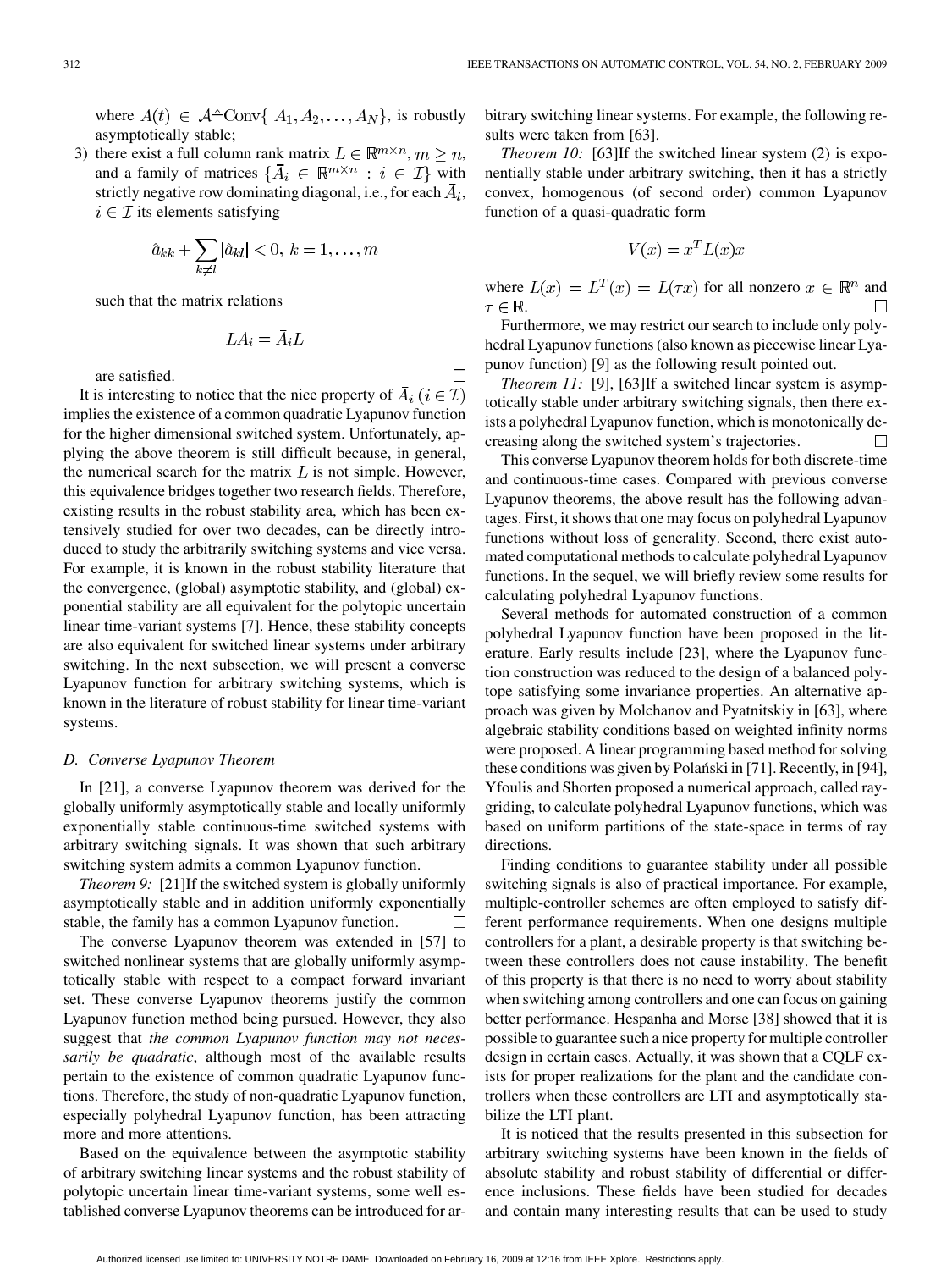where  $A(t) \in A \triangleq \text{Conv} \{ A_1, A_2, \ldots, A_N \}$ , is robustly asymptotically stable;

3) there exist a full column rank matrix  $L \in \mathbb{R}^{m \times n}$ ,  $m \ge n$ , and a family of matrices  $\{\bar{A}_i \in \mathbb{R}^{m \times n} : i \in \mathcal{I}\}\$  with strictly negative row dominating diagonal, i.e., for each  $\bar{A}_i$ ,  $i \in \mathcal{I}$  its elements satisfying

$$
\hat{a}_{kk} + \sum_{k \neq l} |\hat{a}_{kl}| < 0, \ k = 1, \dots, m
$$

such that the matrix relations

$$
LA_i = \bar{A}_i L
$$

 $\Box$ 

are satisfied.

It is interesting to notice that the nice property of  $\bar{A}_i$  ( $i \in \mathcal{I}$ ) implies the existence of a common quadratic Lyapunov function for the higher dimensional switched system. Unfortunately, applying the above theorem is still difficult because, in general, the numerical search for the matrix  $L$  is not simple. However, this equivalence bridges together two research fields. Therefore, existing results in the robust stability area, which has been extensively studied for over two decades, can be directly introduced to study the arbitrarily switching systems and vice versa. For example, it is known in the robust stability literature that the convergence, (global) asymptotic stability, and (global) exponential stability are all equivalent for the polytopic uncertain linear time-variant systems [7]. Hence, these stability concepts are also equivalent for switched linear systems under arbitrary switching. In the next subsection, we will present a converse Lyapunov function for arbitrary switching systems, which is known in the literature of robust stability for linear time-variant systems.

## *D. Converse Lyapunov Theorem*

In [21], a converse Lyapunov theorem was derived for the globally uniformly asymptotically stable and locally uniformly exponentially stable continuous-time switched systems with arbitrary switching signals. It was shown that such arbitrary switching system admits a common Lyapunov function.

*Theorem 9:* [21] If the switched system is globally uniformly asymptotically stable and in addition uniformly exponentially stable, the family has a common Lyapunov function.  $\Box$ 

The converse Lyapunov theorem was extended in [57] to switched nonlinear systems that are globally uniformly asymptotically stable with respect to a compact forward invariant set. These converse Lyapunov theorems justify the common Lyapunov function method being pursued. However, they also suggest that *the common Lyapunov function may not necessarily be quadratic*, although most of the available results pertain to the existence of common quadratic Lyapunov functions. Therefore, the study of non-quadratic Lyapunov function, especially polyhedral Lyapunov function, has been attracting more and more attentions.

Based on the equivalence between the asymptotic stability of arbitrary switching linear systems and the robust stability of polytopic uncertain linear time-variant systems, some well established converse Lyapunov theorems can be introduced for arbitrary switching linear systems. For example, the following results were taken from [63].

*Theorem 10:* [63]If the switched linear system (2) is exponentially stable under arbitrary switching, then it has a strictly convex, homogenous (of second order) common Lyapunov function of a quasi-quadratic form

$$
V(x) = x^T L(x) x
$$

where  $L(x) = L^T(x) = L(\tau x)$  for all nonzero  $x \in \mathbb{R}^n$  and  $\tau \in \mathbb{R}$ .  $\Box$ 

Furthermore, we may restrict our search to include only polyhedral Lyapunov functions (also known as piecewise linear Lyapunov function) [9] as the following result pointed out.

*Theorem 11:* [9], [63]If a switched linear system is asymptotically stable under arbitrary switching signals, then there exists a polyhedral Lyapunov function, which is monotonically decreasing along the switched system's trajectories.  $\Box$ 

This converse Lyapunov theorem holds for both discrete-time and continuous-time cases. Compared with previous converse Lyapunov theorems, the above result has the following advantages. First, it shows that one may focus on polyhedral Lyapunov functions without loss of generality. Second, there exist automated computational methods to calculate polyhedral Lyapunov functions. In the sequel, we will briefly review some results for calculating polyhedral Lyapunov functions.

Several methods for automated construction of a common polyhedral Lyapunov function have been proposed in the literature. Early results include [23], where the Lyapunov function construction was reduced to the design of a balanced polytope satisfying some invariance properties. An alternative approach was given by Molchanov and Pyatnitskiy in [63], where algebraic stability conditions based on weighted infinity norms were proposed. A linear programming based method for solving these conditions was given by Polański in [71]. Recently, in [94], Yfoulis and Shorten proposed a numerical approach, called raygriding, to calculate polyhedral Lyapunov functions, which was based on uniform partitions of the state-space in terms of ray directions.

Finding conditions to guarantee stability under all possible switching signals is also of practical importance. For example, multiple-controller schemes are often employed to satisfy different performance requirements. When one designs multiple controllers for a plant, a desirable property is that switching between these controllers does not cause instability. The benefit of this property is that there is no need to worry about stability when switching among controllers and one can focus on gaining better performance. Hespanha and Morse [38] showed that it is possible to guarantee such a nice property for multiple controller design in certain cases. Actually, it was shown that a CQLF exists for proper realizations for the plant and the candidate controllers when these controllers are LTI and asymptotically stabilize the LTI plant.

It is noticed that the results presented in this subsection for arbitrary switching systems have been known in the fields of absolute stability and robust stability of differential or difference inclusions. These fields have been studied for decades and contain many interesting results that can be used to study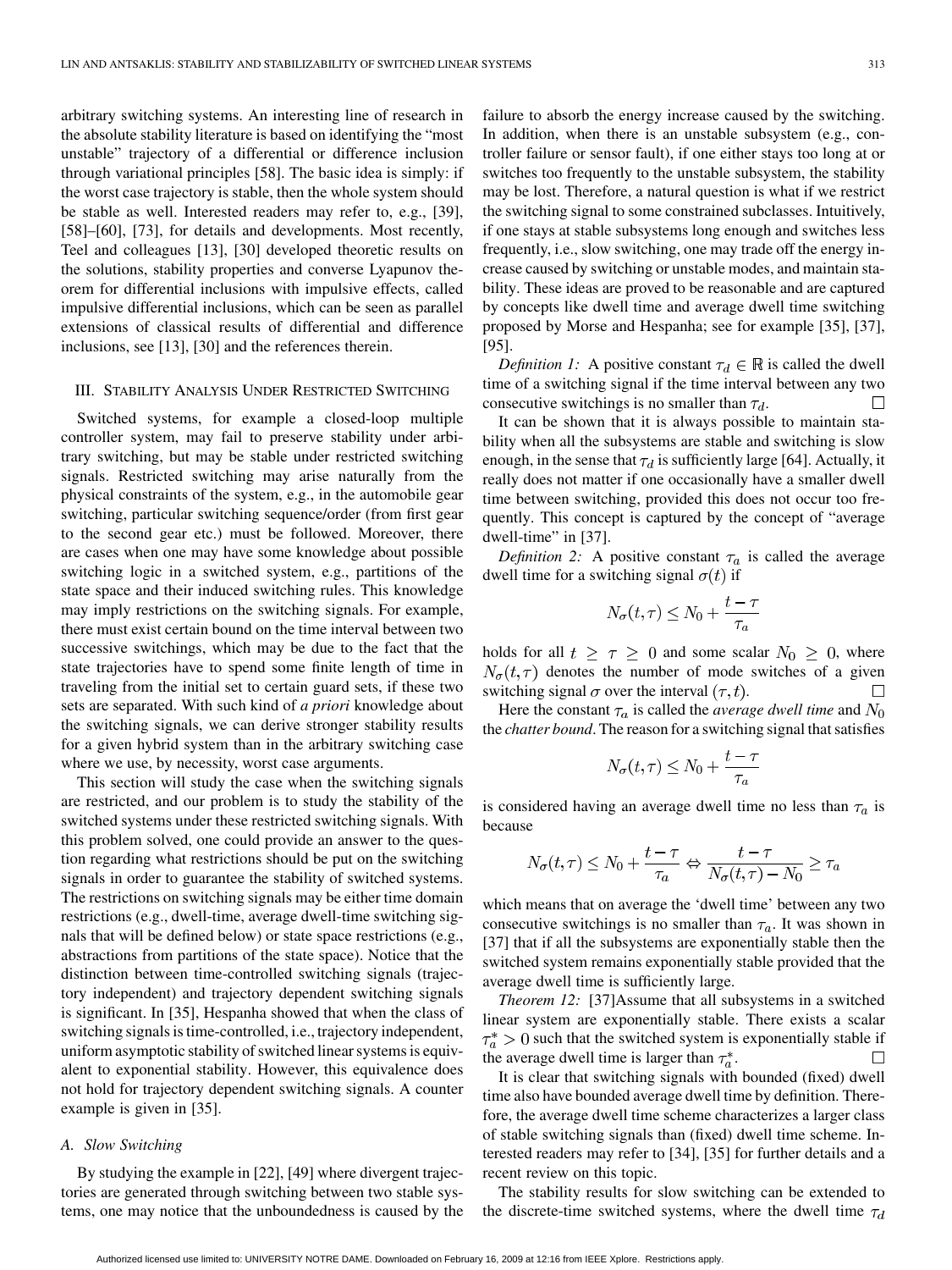arbitrary switching systems. An interesting line of research in the absolute stability literature is based on identifying the "most unstable" trajectory of a differential or difference inclusion through variational principles [58]. The basic idea is simply: if the worst case trajectory is stable, then the whole system should be stable as well. Interested readers may refer to, e.g., [39], [58]–[60], [73], for details and developments. Most recently, Teel and colleagues [13], [30] developed theoretic results on the solutions, stability properties and converse Lyapunov theorem for differential inclusions with impulsive effects, called impulsive differential inclusions, which can be seen as parallel extensions of classical results of differential and difference inclusions, see [13], [30] and the references therein.

## III. STABILITY ANALYSIS UNDER RESTRICTED SWITCHING

Switched systems, for example a closed-loop multiple controller system, may fail to preserve stability under arbitrary switching, but may be stable under restricted switching signals. Restricted switching may arise naturally from the physical constraints of the system, e.g., in the automobile gear switching, particular switching sequence/order (from first gear to the second gear etc.) must be followed. Moreover, there are cases when one may have some knowledge about possible switching logic in a switched system, e.g., partitions of the state space and their induced switching rules. This knowledge may imply restrictions on the switching signals. For example, there must exist certain bound on the time interval between two successive switchings, which may be due to the fact that the state trajectories have to spend some finite length of time in traveling from the initial set to certain guard sets, if these two sets are separated. With such kind of *a priori* knowledge about the switching signals, we can derive stronger stability results for a given hybrid system than in the arbitrary switching case where we use, by necessity, worst case arguments.

This section will study the case when the switching signals are restricted, and our problem is to study the stability of the switched systems under these restricted switching signals. With this problem solved, one could provide an answer to the question regarding what restrictions should be put on the switching signals in order to guarantee the stability of switched systems. The restrictions on switching signals may be either time domain restrictions (e.g., dwell-time, average dwell-time switching signals that will be defined below) or state space restrictions (e.g., abstractions from partitions of the state space). Notice that the distinction between time-controlled switching signals (trajectory independent) and trajectory dependent switching signals is significant. In [35], Hespanha showed that when the class of switching signals is time-controlled, i.e., trajectory independent, uniform asymptotic stability of switched linear systems is equivalent to exponential stability. However, this equivalence does not hold for trajectory dependent switching signals. A counter example is given in [35].

## *A. Slow Switching*

By studying the example in [22], [49] where divergent trajectories are generated through switching between two stable systems, one may notice that the unboundedness is caused by the failure to absorb the energy increase caused by the switching. In addition, when there is an unstable subsystem (e.g., controller failure or sensor fault), if one either stays too long at or switches too frequently to the unstable subsystem, the stability may be lost. Therefore, a natural question is what if we restrict the switching signal to some constrained subclasses. Intuitively, if one stays at stable subsystems long enough and switches less frequently, i.e., slow switching, one may trade off the energy increase caused by switching or unstable modes, and maintain stability. These ideas are proved to be reasonable and are captured by concepts like dwell time and average dwell time switching proposed by Morse and Hespanha; see for example [35], [37], [95].

*Definition 1:* A positive constant  $\tau_d \in \mathbb{R}$  is called the dwell time of a switching signal if the time interval between any two consecutive switchings is no smaller than  $\tau_d$ .  $\Box$ 

It can be shown that it is always possible to maintain stability when all the subsystems are stable and switching is slow enough, in the sense that  $\tau_d$  is sufficiently large [64]. Actually, it really does not matter if one occasionally have a smaller dwell time between switching, provided this does not occur too frequently. This concept is captured by the concept of "average dwell-time" in [37].

*Definition 2:* A positive constant  $\tau_a$  is called the average dwell time for a switching signal  $\sigma(t)$  if

$$
N_{\sigma}(t,\tau) \leq N_0 + \frac{t-\tau}{\tau_a}
$$

holds for all  $t \geq \tau \geq 0$  and some scalar  $N_0 \geq 0$ , where  $N_{\sigma}(t,\tau)$  denotes the number of mode switches of a given switching signal  $\sigma$  over the interval  $(\tau, t)$ .  $\Box$ 

Here the constant  $\tau_a$  is called the *average dwell time* and  $N_0$ the *chatter bound*. The reason for a switching signal that satisfies

$$
N_{\sigma}(t,\tau) \leq N_0 + \frac{t-\tau}{\tau_a}
$$

is considered having an average dwell time no less than  $\tau_a$  is because

$$
N_{\sigma}(t,\tau) \le N_0 + \frac{t-\tau}{\tau_a} \Leftrightarrow \frac{t-\tau}{N_{\sigma}(t,\tau) - N_0} \ge \tau_a
$$

which means that on average the 'dwell time' between any two consecutive switchings is no smaller than  $\tau_a$ . It was shown in [37] that if all the subsystems are exponentially stable then the switched system remains exponentially stable provided that the average dwell time is sufficiently large.

*Theorem 12:* [37]Assume that all subsystems in a switched linear system are exponentially stable. There exists a scalar  $\tau_a^* > 0$  such that the switched system is exponentially stable if the average dwell time is larger than  $\tau_a^*$ .  $\Box$ 

It is clear that switching signals with bounded (fixed) dwell time also have bounded average dwell time by definition. Therefore, the average dwell time scheme characterizes a larger class of stable switching signals than (fixed) dwell time scheme. Interested readers may refer to [34], [35] for further details and a recent review on this topic.

The stability results for slow switching can be extended to the discrete-time switched systems, where the dwell time  $\tau_d$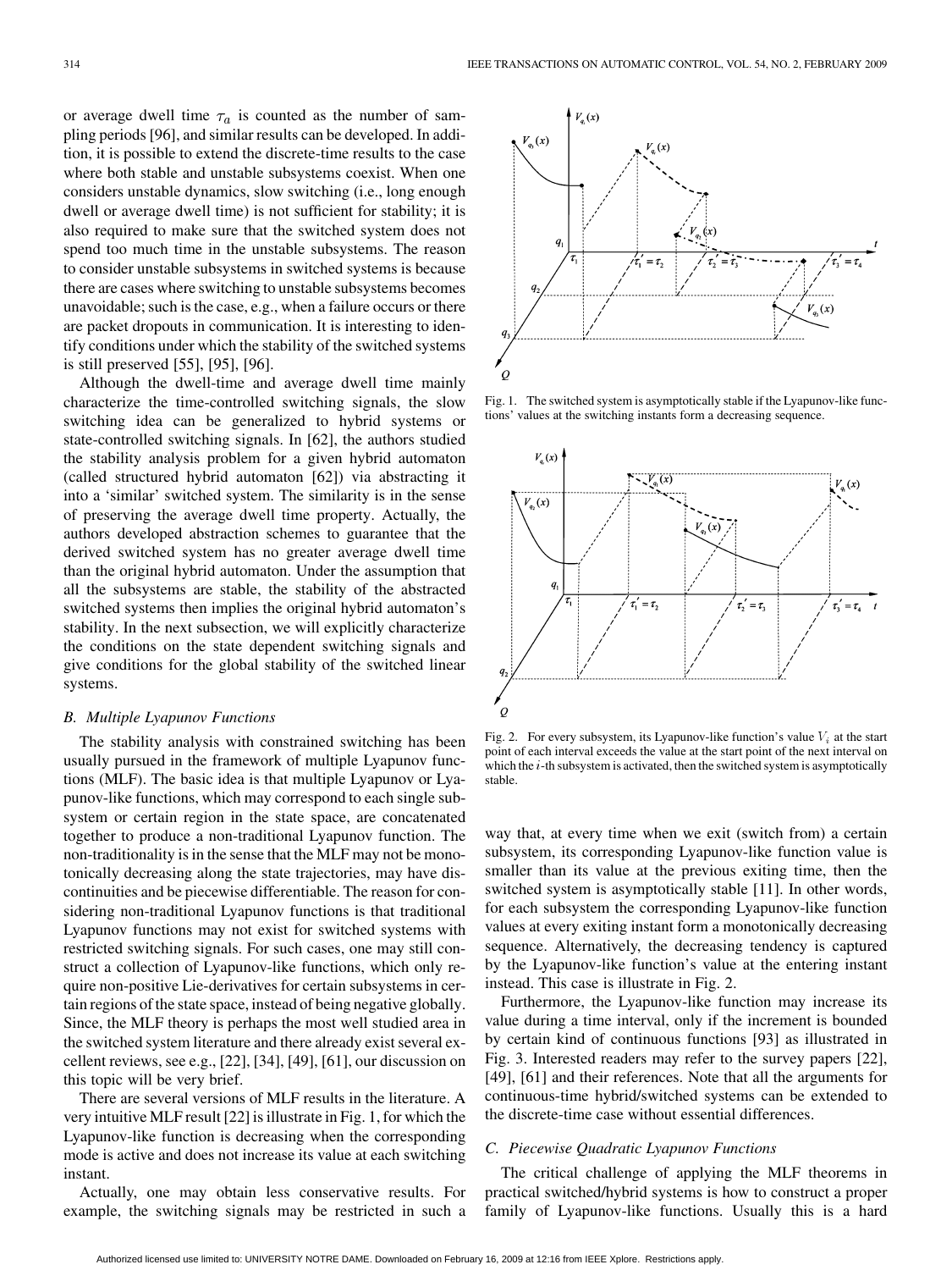or average dwell time  $\tau_a$  is counted as the number of sampling periods [96], and similar results can be developed. In addition, it is possible to extend the discrete-time results to the case where both stable and unstable subsystems coexist. When one considers unstable dynamics, slow switching (i.e., long enough dwell or average dwell time) is not sufficient for stability; it is also required to make sure that the switched system does not spend too much time in the unstable subsystems. The reason to consider unstable subsystems in switched systems is because there are cases where switching to unstable subsystems becomes unavoidable; such is the case, e.g., when a failure occurs or there are packet dropouts in communication. It is interesting to identify conditions under which the stability of the switched systems is still preserved [55], [95], [96].

Although the dwell-time and average dwell time mainly characterize the time-controlled switching signals, the slow switching idea can be generalized to hybrid systems or state-controlled switching signals. In [62], the authors studied the stability analysis problem for a given hybrid automaton (called structured hybrid automaton [62]) via abstracting it into a 'similar' switched system. The similarity is in the sense of preserving the average dwell time property. Actually, the authors developed abstraction schemes to guarantee that the derived switched system has no greater average dwell time than the original hybrid automaton. Under the assumption that all the subsystems are stable, the stability of the abstracted switched systems then implies the original hybrid automaton's stability. In the next subsection, we will explicitly characterize the conditions on the state dependent switching signals and give conditions for the global stability of the switched linear systems.

### *B. Multiple Lyapunov Functions*

The stability analysis with constrained switching has been usually pursued in the framework of multiple Lyapunov functions (MLF). The basic idea is that multiple Lyapunov or Lyapunov-like functions, which may correspond to each single subsystem or certain region in the state space, are concatenated together to produce a non-traditional Lyapunov function. The non-traditionality is in the sense that the MLF may not be monotonically decreasing along the state trajectories, may have discontinuities and be piecewise differentiable. The reason for considering non-traditional Lyapunov functions is that traditional Lyapunov functions may not exist for switched systems with restricted switching signals. For such cases, one may still construct a collection of Lyapunov-like functions, which only require non-positive Lie-derivatives for certain subsystems in certain regions of the state space, instead of being negative globally. Since, the MLF theory is perhaps the most well studied area in the switched system literature and there already exist several excellent reviews, see e.g., [22], [34], [49], [61], our discussion on this topic will be very brief.

There are several versions of MLF results in the literature. A very intuitive MLF result [22] is illustrate in Fig. 1, for which the Lyapunov-like function is decreasing when the corresponding mode is active and does not increase its value at each switching instant.

Actually, one may obtain less conservative results. For example, the switching signals may be restricted in such a



Fig. 1. The switched system is asymptotically stable if the Lyapunov-like functions' values at the switching instants form a decreasing sequence.



Fig. 2. For every subsystem, its Lyapunov-like function's value  $V_i$  at the start point of each interval exceeds the value at the start point of the next interval on which the  $i$ -th subsystem is activated, then the switched system is asymptotically stable.

way that, at every time when we exit (switch from) a certain subsystem, its corresponding Lyapunov-like function value is smaller than its value at the previous exiting time, then the switched system is asymptotically stable [11]. In other words, for each subsystem the corresponding Lyapunov-like function values at every exiting instant form a monotonically decreasing sequence. Alternatively, the decreasing tendency is captured by the Lyapunov-like function's value at the entering instant instead. This case is illustrate in Fig. 2.

Furthermore, the Lyapunov-like function may increase its value during a time interval, only if the increment is bounded by certain kind of continuous functions [93] as illustrated in Fig. 3. Interested readers may refer to the survey papers [22], [49], [61] and their references. Note that all the arguments for continuous-time hybrid/switched systems can be extended to the discrete-time case without essential differences.

# *C. Piecewise Quadratic Lyapunov Functions*

The critical challenge of applying the MLF theorems in practical switched/hybrid systems is how to construct a proper family of Lyapunov-like functions. Usually this is a hard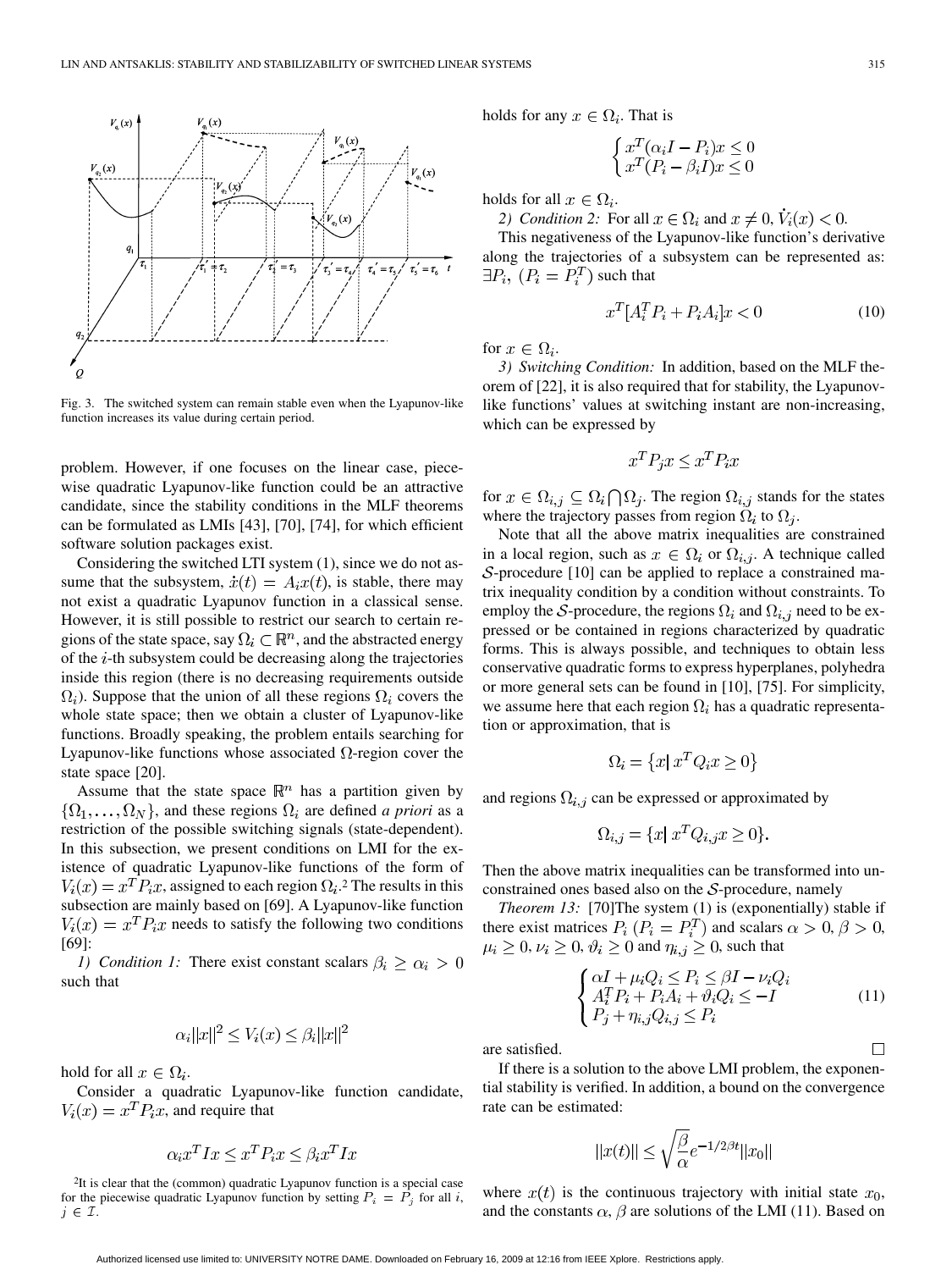

Fig. 3. The switched system can remain stable even when the Lyapunov-like function increases its value during certain period.

problem. However, if one focuses on the linear case, piecewise quadratic Lyapunov-like function could be an attractive candidate, since the stability conditions in the MLF theorems can be formulated as LMIs [43], [70], [74], for which efficient software solution packages exist.

Considering the switched LTI system (1), since we do not assume that the subsystem,  $\dot{x}(t) = A_i x(t)$ , is stable, there may not exist a quadratic Lyapunov function in a classical sense. However, it is still possible to restrict our search to certain regions of the state space, say  $\Omega_i \subset \mathbb{R}^n$ , and the abstracted energy of the  $i$ -th subsystem could be decreasing along the trajectories inside this region (there is no decreasing requirements outside  $\Omega_i$ ). Suppose that the union of all these regions  $\Omega_i$  covers the whole state space; then we obtain a cluster of Lyapunov-like functions. Broadly speaking, the problem entails searching for Lyapunov-like functions whose associated  $\Omega$ -region cover the state space [20].

Assume that the state space  $\mathbb{R}^n$  has a partition given by  $\{\Omega_1, \ldots, \Omega_N\}$ , and these regions  $\Omega_i$  are defined *a priori* as a restriction of the possible switching signals (state-dependent). In this subsection, we present conditions on LMI for the existence of quadratic Lyapunov-like functions of the form of  $V_i(x) = x^T P_i x$ , assigned to each region  $\Omega_i$ . The results in this subsection are mainly based on [69]. A Lyapunov-like function  $V_i(x) = x^T P_i x$  needs to satisfy the following two conditions [69]:

*1) Condition 1:* There exist constant scalars  $\beta_i \geq \alpha_i > 0$ such that

$$
\alpha_i ||x||^2 \le V_i(x) \le \beta_i ||x||^2
$$

hold for all  $x \in \Omega_i$ .

Consider a quadratic Lyapunov-like function candidate,  $V_i(x) = x^T P_i x$ , and require that

$$
\alpha_i x^T I x \le x^T P_i x \le \beta_i x^T I x
$$

2It is clear that the (common) quadratic Lyapunov function is a special case for the piecewise quadratic Lyapunov function by setting  $P_i = P_j$  for all i,  $j \in \mathcal{I}$ .

holds for any  $x \in \Omega_i$ . That is

$$
\begin{cases} x^T(\alpha_i I - P_i)x \le 0\\ x^T(P_i - \beta_i I)x \le 0 \end{cases}
$$

holds for all  $x \in \Omega_i$ .

*2)* Condition 2: For all  $x \in \Omega_i$  and  $x \neq 0$ ,  $V_i(x) < 0$ .

This negativeness of the Lyapunov-like function's derivative along the trajectories of a subsystem can be represented as:  $\exists P_i, (P_i = P_i^T)$  such that

$$
x^T[A_i^T P_i + P_i A_i]x < 0\tag{10}
$$

for  $x \in \Omega_i$ .

*3) Switching Condition:* In addition, based on the MLF theorem of [22], it is also required that for stability, the Lyapunovlike functions' values at switching instant are non-increasing, which can be expressed by

$$
x^T P_j x \le x^T P_i x
$$

for  $x \in \Omega_{i,j} \subseteq \Omega_i \cap \Omega_j$ . The region  $\Omega_{i,j}$  stands for the states where the trajectory passes from region  $\Omega_i$  to  $\Omega_j$ .

Note that all the above matrix inequalities are constrained in a local region, such as  $x \in \Omega_i$  or  $\Omega_{i,j}$ . A technique called  $S$ -procedure [10] can be applied to replace a constrained matrix inequality condition by a condition without constraints. To employ the S-procedure, the regions  $\Omega_i$  and  $\Omega_{i,j}$  need to be expressed or be contained in regions characterized by quadratic forms. This is always possible, and techniques to obtain less conservative quadratic forms to express hyperplanes, polyhedra or more general sets can be found in [10], [75]. For simplicity, we assume here that each region  $\Omega_i$  has a quadratic representation or approximation, that is

$$
\Omega_i = \left\{ x \mid x^T Q_i x \ge 0 \right\}
$$

and regions  $\Omega_{i,j}$  can be expressed or approximated by

$$
\Omega_{i,j} = \{x \mid x^T Q_{i,j} x \ge 0\}.
$$

Then the above matrix inequalities can be transformed into unconstrained ones based also on the  $S$ -procedure, namely

*Theorem 13:* [70]The system (1) is (exponentially) stable if there exist matrices  $P_i$   $(P_i = P_i^T)$  and scalars  $\alpha > 0, \beta > 0$ ,  $\mu_i \geq 0, \nu_i \geq 0, \vartheta_i \geq 0$  and  $\eta_{i,j} \geq 0$ , such that

$$
\begin{cases} \alpha I + \mu_i Q_i \le P_i \le \beta I - \nu_i Q_i \\ A_i^T P_i + P_i A_i + \vartheta_i Q_i \le -I \\ P_j + \eta_{i,j} Q_{i,j} \le P_i \end{cases} \tag{11}
$$

 $\Box$ 

are satisfied.

If there is a solution to the above LMI problem, the exponential stability is verified. In addition, a bound on the convergence rate can be estimated:

$$
||x(t)|| \le \sqrt{\frac{\beta}{\alpha}} e^{-1/2\beta t} ||x_0||
$$

where  $x(t)$  is the continuous trajectory with initial state  $x_0$ , and the constants  $\alpha$ ,  $\beta$  are solutions of the LMI (11). Based on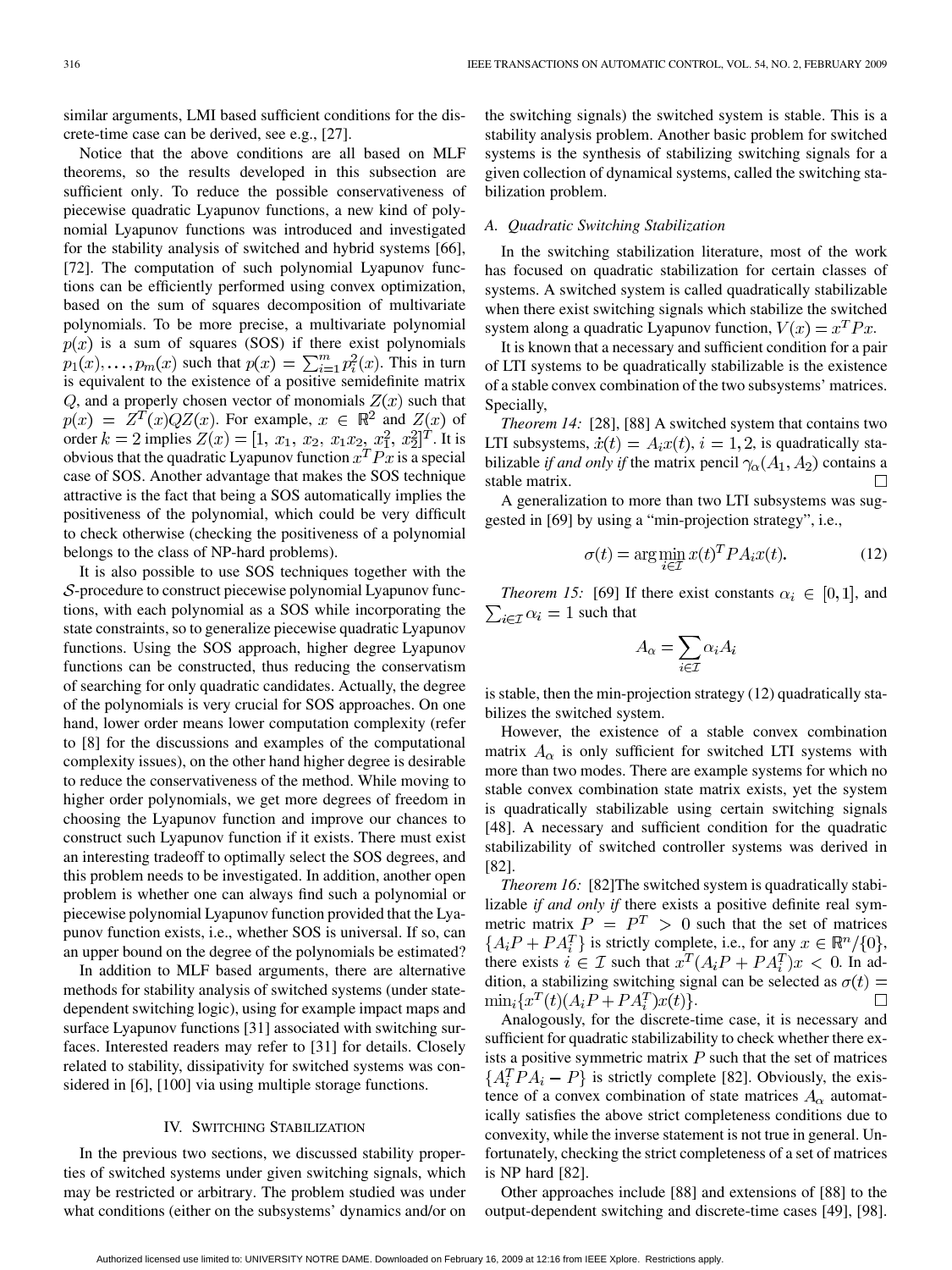similar arguments, LMI based sufficient conditions for the discrete-time case can be derived, see e.g., [27].

Notice that the above conditions are all based on MLF theorems, so the results developed in this subsection are sufficient only. To reduce the possible conservativeness of piecewise quadratic Lyapunov functions, a new kind of polynomial Lyapunov functions was introduced and investigated for the stability analysis of switched and hybrid systems [66], [72]. The computation of such polynomial Lyapunov functions can be efficiently performed using convex optimization, based on the sum of squares decomposition of multivariate polynomials. To be more precise, a multivariate polynomial  $p(x)$  is a sum of squares (SOS) if there exist polynomials  $p_1(x), \ldots, p_m(x)$  such that  $p(x) = \sum_{i=1}^m p_i^2(x)$ . This in turn is equivalent to the existence of a positive semidefinite matrix Q, and a properly chosen vector of monomials  $Z(x)$  such that  $p(x) = Z^{T}(x)QZ(x)$ . For example,  $x \in \mathbb{R}^{2}$  and  $Z(x)$  of order  $k = 2$  implies  $Z(x) = [1, x_1, x_2, x_1x_2, x_1^2, x_2^2]^T$ . It is obvious that the quadratic Lyapunov function  $x^T P x$  is a special case of SOS. Another advantage that makes the SOS technique attractive is the fact that being a SOS automatically implies the positiveness of the polynomial, which could be very difficult to check otherwise (checking the positiveness of a polynomial belongs to the class of NP-hard problems).

It is also possible to use SOS techniques together with the  $S$ -procedure to construct piecewise polynomial Lyapunov functions, with each polynomial as a SOS while incorporating the state constraints, so to generalize piecewise quadratic Lyapunov functions. Using the SOS approach, higher degree Lyapunov functions can be constructed, thus reducing the conservatism of searching for only quadratic candidates. Actually, the degree of the polynomials is very crucial for SOS approaches. On one hand, lower order means lower computation complexity (refer to [8] for the discussions and examples of the computational complexity issues), on the other hand higher degree is desirable to reduce the conservativeness of the method. While moving to higher order polynomials, we get more degrees of freedom in choosing the Lyapunov function and improve our chances to construct such Lyapunov function if it exists. There must exist an interesting tradeoff to optimally select the SOS degrees, and this problem needs to be investigated. In addition, another open problem is whether one can always find such a polynomial or piecewise polynomial Lyapunov function provided that the Lyapunov function exists, i.e., whether SOS is universal. If so, can an upper bound on the degree of the polynomials be estimated?

In addition to MLF based arguments, there are alternative methods for stability analysis of switched systems (under statedependent switching logic), using for example impact maps and surface Lyapunov functions [31] associated with switching surfaces. Interested readers may refer to [31] for details. Closely related to stability, dissipativity for switched systems was considered in [6], [100] via using multiple storage functions.

## IV. SWITCHING STABILIZATION

In the previous two sections, we discussed stability properties of switched systems under given switching signals, which may be restricted or arbitrary. The problem studied was under what conditions (either on the subsystems' dynamics and/or on

the switching signals) the switched system is stable. This is a stability analysis problem. Another basic problem for switched systems is the synthesis of stabilizing switching signals for a given collection of dynamical systems, called the switching stabilization problem.

## *A. Quadratic Switching Stabilization*

In the switching stabilization literature, most of the work has focused on quadratic stabilization for certain classes of systems. A switched system is called quadratically stabilizable when there exist switching signals which stabilize the switched system along a quadratic Lyapunov function,  $V(x) = x^T P x$ .

It is known that a necessary and sufficient condition for a pair of LTI systems to be quadratically stabilizable is the existence of a stable convex combination of the two subsystems' matrices. Specially,

*Theorem 14:* [28], [88] A switched system that contains two LTI subsystems,  $\dot{x}(t) = A_i x(t), i = 1, 2$ , is quadratically stabilizable *if and only if* the matrix pencil  $\gamma_{\alpha}(A_1, A_2)$  contains a stable matrix.

A generalization to more than two LTI subsystems was suggested in [69] by using a "min-projection strategy", i.e.,

$$
\sigma(t) = \arg\min_{i \in \mathcal{I}} x(t)^T P A_i x(t).
$$
 (12)

*Theorem 15:* [69] If there exist constants  $\alpha_i \in [0,1]$ , and  $\sum_{i \in \mathcal{I}} \alpha_i = 1$  such that

$$
A_\alpha = \sum_{i \in \mathcal{I}} \alpha_i A_i
$$

is stable, then the min-projection strategy (12) quadratically stabilizes the switched system.

However, the existence of a stable convex combination matrix  $A_{\alpha}$  is only sufficient for switched LTI systems with more than two modes. There are example systems for which no stable convex combination state matrix exists, yet the system is quadratically stabilizable using certain switching signals [48]. A necessary and sufficient condition for the quadratic stabilizability of switched controller systems was derived in [82].

*Theorem 16:* [82] The switched system is quadratically stabilizable *if and only if* there exists a positive definite real symmetric matrix  $P = P^T > 0$  such that the set of matrices  ${A_i P + P A_i^T}$  is strictly complete, i.e., for any  $x \in \mathbb{R}^n/\{0\}$ , there exists  $i \in \mathcal{I}$  such that  $x^T(A_i P + P A_i^T)x < 0$ . In addition, a stabilizing switching signal can be selected as  $\sigma(t)$  =  $\min_i \{x^T(t)(A_iP + PA_i^T)x(t)\}.$  $\Box$ 

Analogously, for the discrete-time case, it is necessary and sufficient for quadratic stabilizability to check whether there exists a positive symmetric matrix  $P$  such that the set of matrices  ${A_i^T}PA_i - P$  is strictly complete [82]. Obviously, the existence of a convex combination of state matrices  $A_{\alpha}$  automatically satisfies the above strict completeness conditions due to convexity, while the inverse statement is not true in general. Unfortunately, checking the strict completeness of a set of matrices is NP hard [82].

Other approaches include [88] and extensions of [88] to the output-dependent switching and discrete-time cases [49], [98].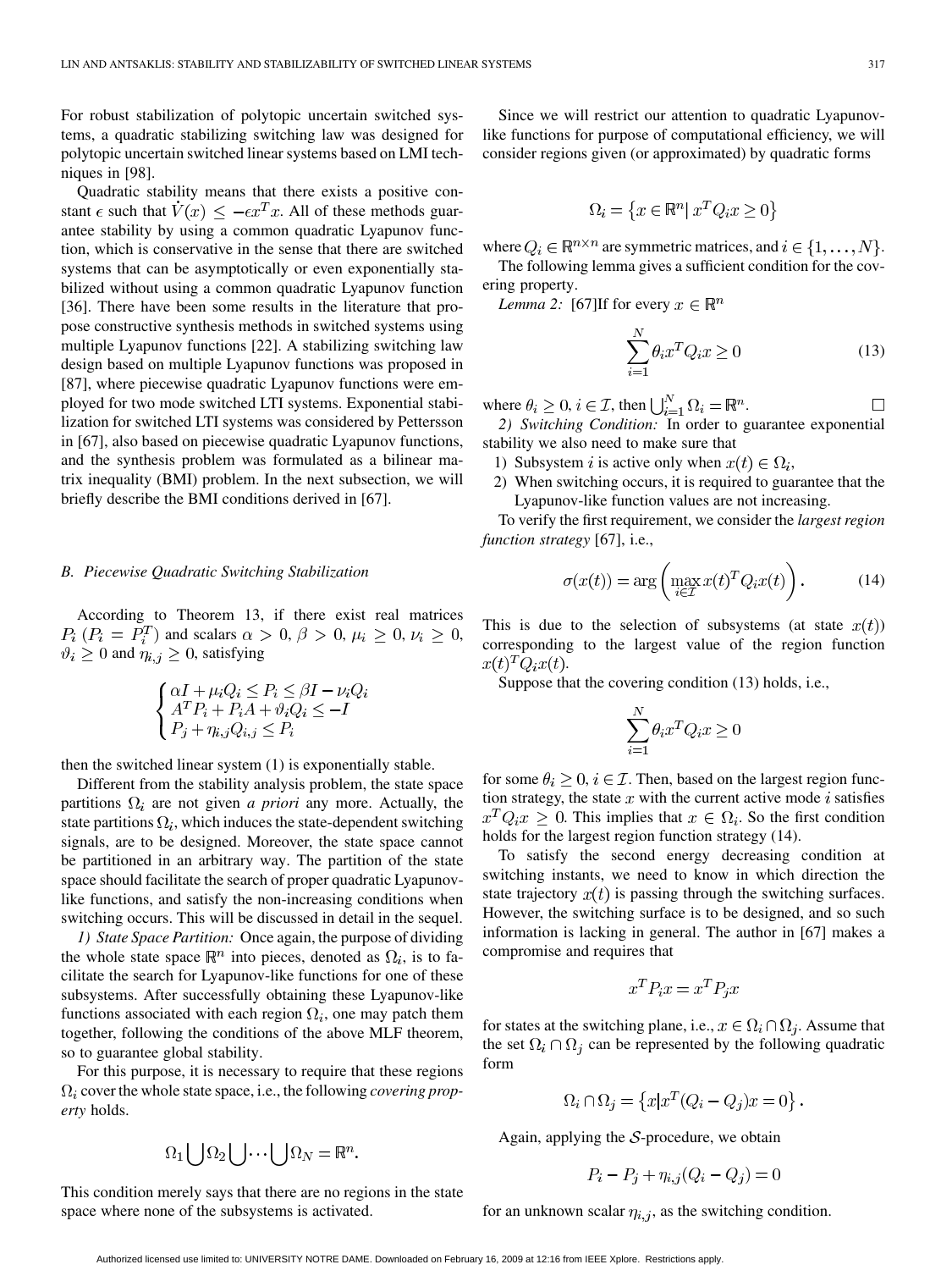For robust stabilization of polytopic uncertain switched systems, a quadratic stabilizing switching law was designed for polytopic uncertain switched linear systems based on LMI techniques in [98].

Quadratic stability means that there exists a positive constant  $\epsilon$  such that  $V(x) \le -\epsilon x^T x$ . All of these methods guarantee stability by using a common quadratic Lyapunov function, which is conservative in the sense that there are switched systems that can be asymptotically or even exponentially stabilized without using a common quadratic Lyapunov function [36]. There have been some results in the literature that propose constructive synthesis methods in switched systems using multiple Lyapunov functions [22]. A stabilizing switching law design based on multiple Lyapunov functions was proposed in [87], where piecewise quadratic Lyapunov functions were employed for two mode switched LTI systems. Exponential stabilization for switched LTI systems was considered by Pettersson in [67], also based on piecewise quadratic Lyapunov functions, and the synthesis problem was formulated as a bilinear matrix inequality (BMI) problem. In the next subsection, we will briefly describe the BMI conditions derived in [67].

# *B. Piecewise Quadratic Switching Stabilization*

According to Theorem 13, if there exist real matrices  $P_i$   $(P_i = P_i^T)$  and scalars  $\alpha > 0$ ,  $\beta > 0$ ,  $\mu_i \ge 0$ ,  $\nu_i \ge 0$ ,  $\vartheta_i \geq 0$  and  $\eta_{i,j} \geq 0$ , satisfying

$$
\begin{cases} \alpha I + \mu_i Q_i \le P_i \le \beta I - \nu_i Q_i \\ A^T P_i + P_i A + \vartheta_i Q_i \le -I \\ P_j + \eta_{i,j} Q_{i,j} \le P_i \end{cases}
$$

then the switched linear system (1) is exponentially stable.

Different from the stability analysis problem, the state space partitions  $\Omega_i$  are not given *a priori* any more. Actually, the state partitions  $\Omega_i$ , which induces the state-dependent switching signals, are to be designed. Moreover, the state space cannot be partitioned in an arbitrary way. The partition of the state space should facilitate the search of proper quadratic Lyapunovlike functions, and satisfy the non-increasing conditions when switching occurs. This will be discussed in detail in the sequel.

*1) State Space Partition:* Once again, the purpose of dividing the whole state space  $\mathbb{R}^n$  into pieces, denoted as  $\Omega_i$ , is to facilitate the search for Lyapunov-like functions for one of these subsystems. After successfully obtaining these Lyapunov-like functions associated with each region  $\Omega_i$ , one may patch them together, following the conditions of the above MLF theorem, so to guarantee global stability.

For this purpose, it is necessary to require that these regions  $\Omega_i$  cover the whole state space, i.e., the following *covering property* holds.

$$
\Omega_1 \bigcup \Omega_2 \bigcup \cdots \bigcup \Omega_N = \mathbb{R}^n.
$$

This condition merely says that there are no regions in the state space where none of the subsystems is activated.

Since we will restrict our attention to quadratic Lyapunovlike functions for purpose of computational efficiency, we will consider regions given (or approximated) by quadratic forms

$$
\Omega_i = \left\{ x \in \mathbb{R}^n \mid x^T Q_i x \ge 0 \right\}
$$

where  $Q_i \in \mathbb{R}^{n \times n}$  are symmetric matrices, and  $i \in \{1, ..., N\}$ . The following lemma gives a sufficient condition for the cov-

ering property.

*Lemma 2:* [67] If for every  $x \in \mathbb{R}^n$ 

$$
\sum_{i=1}^{N} \theta_i x^T Q_i x \ge 0 \tag{13}
$$

where  $\theta_i \geq 0, i \in \mathcal{I}$ , then  $\bigcup_{i=1}^N \Omega_i = \mathbb{R}^n$ .  $\Box$ 

*2) Switching Condition:* In order to guarantee exponential stability we also need to make sure that

- 1) Subsystem *i* is active only when  $x(t) \in \Omega_i$ ,
- 2) When switching occurs, it is required to guarantee that the Lyapunov-like function values are not increasing.

To verify the first requirement, we consider the *largest region function strategy* [67], i.e.,

$$
\sigma(x(t)) = \arg\left(\max_{i \in \mathcal{I}} x(t)^T Q_i x(t)\right). \tag{14}
$$

This is due to the selection of subsystems (at state  $x(t)$ ) corresponding to the largest value of the region function  $x(t)^T Q_i x(t)$ .

Suppose that the covering condition (13) holds, i.e.,

$$
\sum_{i=1}^{N} \theta_i x^T Q_i x \ge 0
$$

for some  $\theta_i \geq 0$ ,  $i \in \mathcal{I}$ . Then, based on the largest region function strategy, the state  $x$  with the current active mode  $i$  satisfies  $x^T Q_i x \geq 0$ . This implies that  $x \in \Omega_i$ . So the first condition holds for the largest region function strategy (14).

To satisfy the second energy decreasing condition at switching instants, we need to know in which direction the state trajectory  $x(t)$  is passing through the switching surfaces. However, the switching surface is to be designed, and so such information is lacking in general. The author in [67] makes a compromise and requires that

$$
x^T P_i x = x^T P_j x
$$

for states at the switching plane, i.e.,  $x \in \Omega_i \cap \Omega_j$ . Assume that the set  $\Omega_i \cap \Omega_j$  can be represented by the following quadratic form

$$
\Omega_i \cap \Omega_j = \left\{ x | x^T (Q_i - Q_j) x = 0 \right\}.
$$

Again, applying the  $S$ -procedure, we obtain

$$
P_i - P_j + \eta_{i,j}(Q_i - Q_j) = 0
$$

for an unknown scalar  $\eta_{i,j}$ , as the switching condition.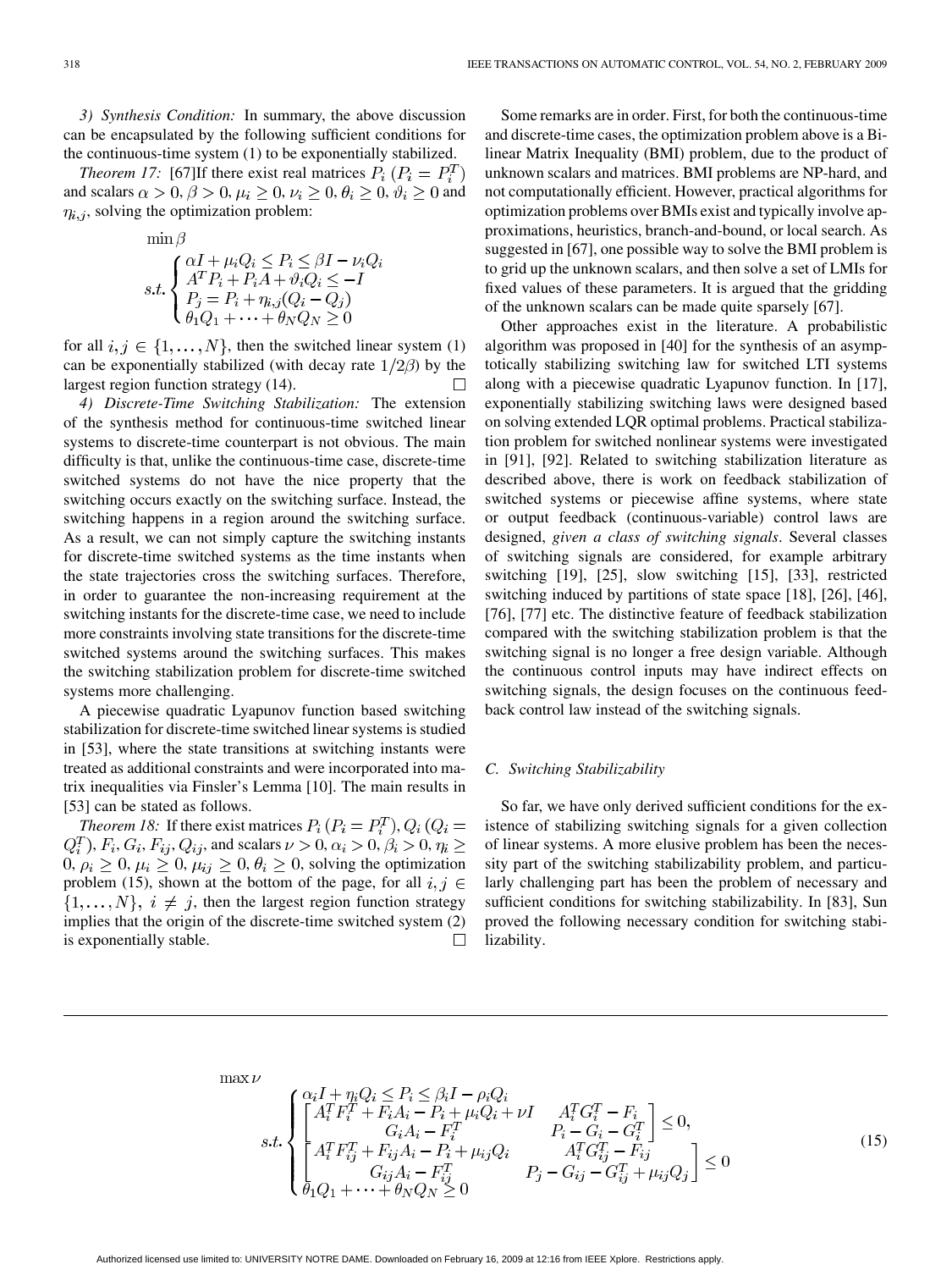*3) Synthesis Condition:* In summary, the above discussion can be encapsulated by the following sufficient conditions for the continuous-time system (1) to be exponentially stabilized.

*Theorem 17:* [67] If there exist real matrices  $P_i$  ( $P_i = P_i^T$ ) and scalars  $\alpha > 0$ ,  $\beta > 0$ ,  $\mu_i \geq 0$ ,  $\nu_i \geq 0$ ,  $\theta_i \geq 0$ ,  $\vartheta_i \geq 0$  and  $\eta_{i,j}$ , solving the optimization problem:

$$
\min \beta
$$
\n
$$
s.t. \begin{cases} \n\alpha I + \mu_i Q_i \le P_i \le \beta I - \nu_i Q_i \\ \nA^T P_i + P_i A + \vartheta_i Q_i \le -I \\ \nP_j = P_i + \eta_{i,j} (Q_i - Q_j) \\ \n\theta_1 Q_1 + \dots + \theta_N Q_N \ge 0 \n\end{cases}
$$

for all  $i, j \in \{1, ..., N\}$ , then the switched linear system (1) can be exponentially stabilized (with decay rate  $1/2\beta$ ) by the largest region function strategy (14). П

*4) Discrete-Time Switching Stabilization:* The extension of the synthesis method for continuous-time switched linear systems to discrete-time counterpart is not obvious. The main difficulty is that, unlike the continuous-time case, discrete-time switched systems do not have the nice property that the switching occurs exactly on the switching surface. Instead, the switching happens in a region around the switching surface. As a result, we can not simply capture the switching instants for discrete-time switched systems as the time instants when the state trajectories cross the switching surfaces. Therefore, in order to guarantee the non-increasing requirement at the switching instants for the discrete-time case, we need to include more constraints involving state transitions for the discrete-time switched systems around the switching surfaces. This makes the switching stabilization problem for discrete-time switched systems more challenging.

A piecewise quadratic Lyapunov function based switching stabilization for discrete-time switched linear systems is studied in [53], where the state transitions at switching instants were treated as additional constraints and were incorporated into matrix inequalities via Finsler's Lemma [10]. The main results in [53] can be stated as follows.

*Theorem 18:* If there exist matrices  $P_i$   $(P_i = P_i^T)$ ,  $Q_i$   $(Q_i =$  $Q_i^T$ ),  $F_i$ ,  $G_i$ ,  $F_{ij}$ ,  $Q_{ij}$ , and scalars  $\nu > 0$ ,  $\alpha_i > 0$ ,  $\beta_i > 0$ ,  $\eta_i \ge$  $0, \rho_i \geq 0, \mu_i \geq 0, \mu_{ij} \geq 0, \theta_i \geq 0$ , solving the optimization problem (15), shown at the bottom of the page, for all  $i, j \in$  $\{1,\ldots,N\}, i \neq j$ , then the largest region function strategy implies that the origin of the discrete-time switched system (2) is exponentially stable.  $\Box$ 

ma

Some remarks are in order. First, for both the continuous-time and discrete-time cases, the optimization problem above is a Bilinear Matrix Inequality (BMI) problem, due to the product of unknown scalars and matrices. BMI problems are NP-hard, and not computationally efficient. However, practical algorithms for optimization problems over BMIs exist and typically involve approximations, heuristics, branch-and-bound, or local search. As suggested in [67], one possible way to solve the BMI problem is to grid up the unknown scalars, and then solve a set of LMIs for fixed values of these parameters. It is argued that the gridding of the unknown scalars can be made quite sparsely [67].

Other approaches exist in the literature. A probabilistic algorithm was proposed in [40] for the synthesis of an asymptotically stabilizing switching law for switched LTI systems along with a piecewise quadratic Lyapunov function. In [17], exponentially stabilizing switching laws were designed based on solving extended LQR optimal problems. Practical stabilization problem for switched nonlinear systems were investigated in [91], [92]. Related to switching stabilization literature as described above, there is work on feedback stabilization of switched systems or piecewise affine systems, where state or output feedback (continuous-variable) control laws are designed, *given a class of switching signals*. Several classes of switching signals are considered, for example arbitrary switching [19], [25], slow switching [15], [33], restricted switching induced by partitions of state space [18], [26], [46], [76], [77] etc. The distinctive feature of feedback stabilization compared with the switching stabilization problem is that the switching signal is no longer a free design variable. Although the continuous control inputs may have indirect effects on switching signals, the design focuses on the continuous feedback control law instead of the switching signals.

## *C. Switching Stabilizability*

So far, we have only derived sufficient conditions for the existence of stabilizing switching signals for a given collection of linear systems. A more elusive problem has been the necessity part of the switching stabilizability problem, and particularly challenging part has been the problem of necessary and sufficient conditions for switching stabilizability. In [83], Sun proved the following necessary condition for switching stabilizability.

$$
s.t. \begin{cases} \alpha_i I + \eta_i Q_i \le P_i \le \beta_i I - \rho_i Q_i \\ \begin{bmatrix} A_i^T F_i^T + F_i A_i - P_i + \mu_i Q_i + \nu I & A_i^T G_i^T - F_i \\ G_i A_i - F_i^T & P_i - G_i - G_i^T \end{bmatrix} \le 0, \\ A_i^T F_{ij}^T + F_{ij} A_i - P_i + \mu_{ij} Q_i & A_i^T G_{ij}^T - F_{ij} \\ G_{ij} A_i - F_{ij}^T & P_j - G_{ij} - G_{ij}^T + \mu_{ij} Q_j \end{cases} \tag{15}
$$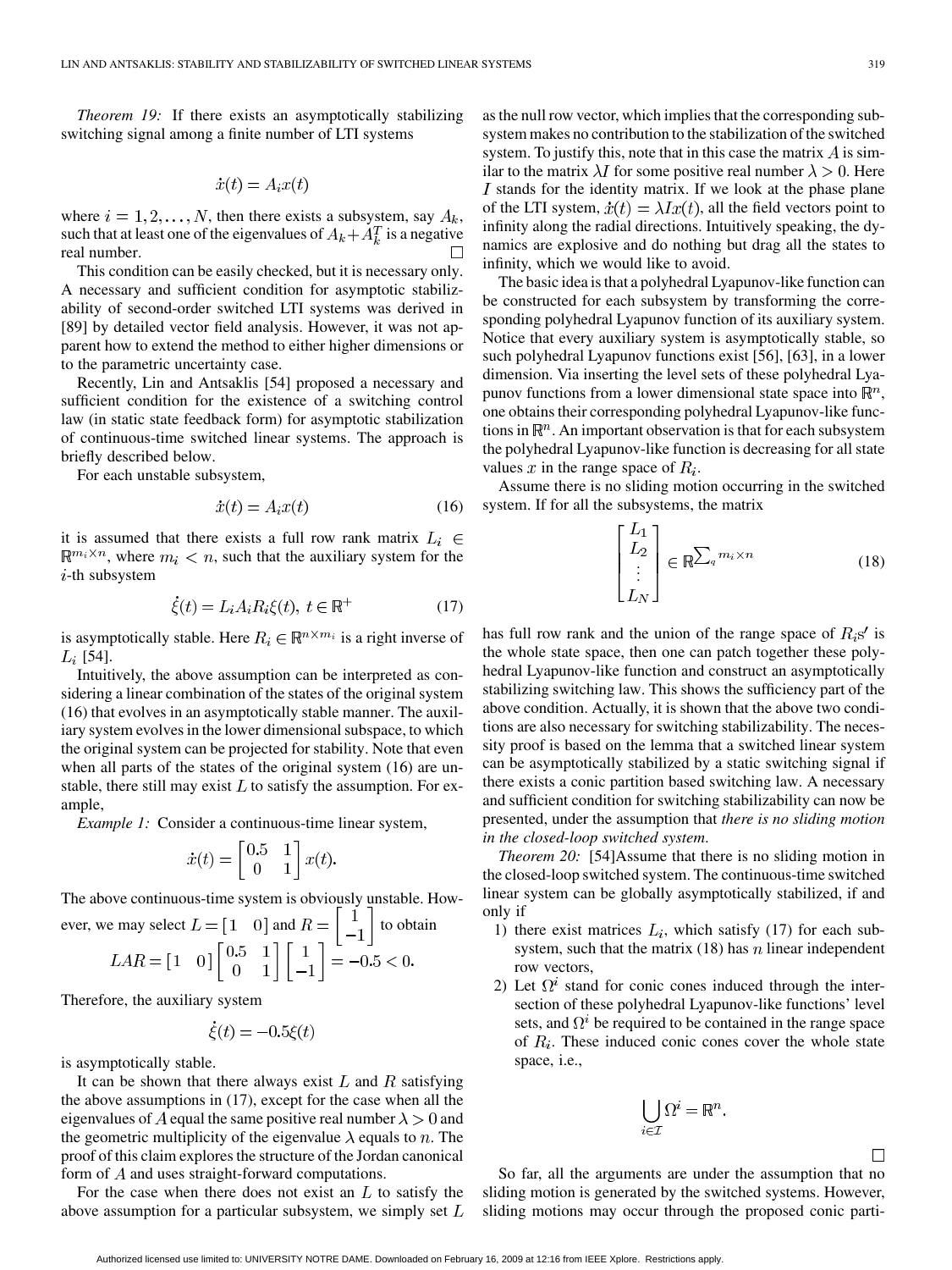*Theorem 19:* If there exists an asymptotically stabilizing switching signal among a finite number of LTI systems

$$
\dot{x}(t) = A_i x(t)
$$

where  $i = 1, 2, ..., N$ , then there exists a subsystem, say  $A_k$ , such that at least one of the eigenvalues of  $A_k + A_k^T$  is a negative real number.

This condition can be easily checked, but it is necessary only. A necessary and sufficient condition for asymptotic stabilizability of second-order switched LTI systems was derived in [89] by detailed vector field analysis. However, it was not apparent how to extend the method to either higher dimensions or to the parametric uncertainty case.

Recently, Lin and Antsaklis [54] proposed a necessary and sufficient condition for the existence of a switching control law (in static state feedback form) for asymptotic stabilization of continuous-time switched linear systems. The approach is briefly described below.

For each unstable subsystem,

$$
\dot{x}(t) = A_i x(t) \tag{16}
$$

it is assumed that there exists a full row rank matrix  $L_i \in$  $\mathbb{R}^{m_i \times n}$ , where  $m_i < n$ , such that the auxiliary system for the  $i$ -th subsystem

$$
\dot{\xi}(t) = L_i A_i R_i \xi(t), \ t \in \mathbb{R}^+ \tag{17}
$$

is asymptotically stable. Here  $R_i \in \mathbb{R}^{n \times m_i}$  is a right inverse of  $L_i$  [54].

Intuitively, the above assumption can be interpreted as considering a linear combination of the states of the original system (16) that evolves in an asymptotically stable manner. The auxiliary system evolves in the lower dimensional subspace, to which the original system can be projected for stability. Note that even when all parts of the states of the original system (16) are unstable, there still may exist  $L$  to satisfy the assumption. For example,

*Example 1:* Consider a continuous-time linear system,

$$
\dot{x}(t) = \begin{bmatrix} 0.5 & 1 \\ 0 & 1 \end{bmatrix} x(t)
$$

The above continuous-time system is obviously unstable. How-

ever, we may select 
$$
L = [1 \ 0]
$$
 and  $R = \begin{bmatrix} 1 \\ -1 \end{bmatrix}$  to obtain

\n $LAR = \begin{bmatrix} 1 & 0 \end{bmatrix} \begin{bmatrix} 0.5 & 1 \\ 0 & 1 \end{bmatrix} \begin{bmatrix} 1 \\ -1 \end{bmatrix} = -0.5 < 0.$ 

Therefore, the auxiliary system

$$
\dot{\xi}(t) = -0.5\xi(t)
$$

is asymptotically stable.

It can be shown that there always exist  $L$  and  $R$  satisfying the above assumptions in (17), except for the case when all the eigenvalues of A equal the same positive real number  $\lambda > 0$  and the geometric multiplicity of the eigenvalue  $\lambda$  equals to n. The proof of this claim explores the structure of the Jordan canonical form of  $A$  and uses straight-forward computations.

For the case when there does not exist an  $L$  to satisfy the above assumption for a particular subsystem, we simply set  $L$ 

as the null row vector, which implies that the corresponding subsystem makes no contribution to the stabilization of the switched system. To justify this, note that in this case the matrix  $\vec{A}$  is similar to the matrix  $\lambda I$  for some positive real number  $\lambda > 0$ . Here I stands for the identity matrix. If we look at the phase plane of the LTI system,  $\dot{x}(t) = \lambda I x(t)$ , all the field vectors point to infinity along the radial directions. Intuitively speaking, the dynamics are explosive and do nothing but drag all the states to infinity, which we would like to avoid.

The basic idea is that a polyhedral Lyapunov-like function can be constructed for each subsystem by transforming the corresponding polyhedral Lyapunov function of its auxiliary system. Notice that every auxiliary system is asymptotically stable, so such polyhedral Lyapunov functions exist [56], [63], in a lower dimension. Via inserting the level sets of these polyhedral Lyapunov functions from a lower dimensional state space into  $\mathbb{R}^n$ , one obtains their corresponding polyhedral Lyapunov-like functions in  $\mathbb{R}^n$ . An important observation is that for each subsystem the polyhedral Lyapunov-like function is decreasing for all state values x in the range space of  $R_i$ .

Assume there is no sliding motion occurring in the switched system. If for all the subsystems, the matrix

$$
\begin{bmatrix} L_1 \\ L_2 \\ \vdots \\ L_N \end{bmatrix} \in \mathbb{R}^{\sum_q m_i \times n} \tag{18}
$$

has full row rank and the union of the range space of  $R_i s'$  is the whole state space, then one can patch together these polyhedral Lyapunov-like function and construct an asymptotically stabilizing switching law. This shows the sufficiency part of the above condition. Actually, it is shown that the above two conditions are also necessary for switching stabilizability. The necessity proof is based on the lemma that a switched linear system can be asymptotically stabilized by a static switching signal if there exists a conic partition based switching law. A necessary and sufficient condition for switching stabilizability can now be presented, under the assumption that *there is no sliding motion in the closed-loop switched system*.

*Theorem 20:* [54]Assume that there is no sliding motion in the closed-loop switched system. The continuous-time switched linear system can be globally asymptotically stabilized, if and only if

- 1) there exist matrices  $L_i$ , which satisfy (17) for each subsystem, such that the matrix  $(18)$  has n linear independent row vectors,
- 2) Let  $\Omega^i$  stand for conic cones induced through the intersection of these polyhedral Lyapunov-like functions' level sets, and  $\Omega^i$  be required to be contained in the range space of  $R_i$ . These induced conic cones cover the whole state space, i.e.,

$$
\bigcup_{i\in\mathcal{I}}\Omega^i=\mathbb{R}^n.
$$

So far, all the arguments are under the assumption that no sliding motion is generated by the switched systems. However, sliding motions may occur through the proposed conic parti-

 $\Box$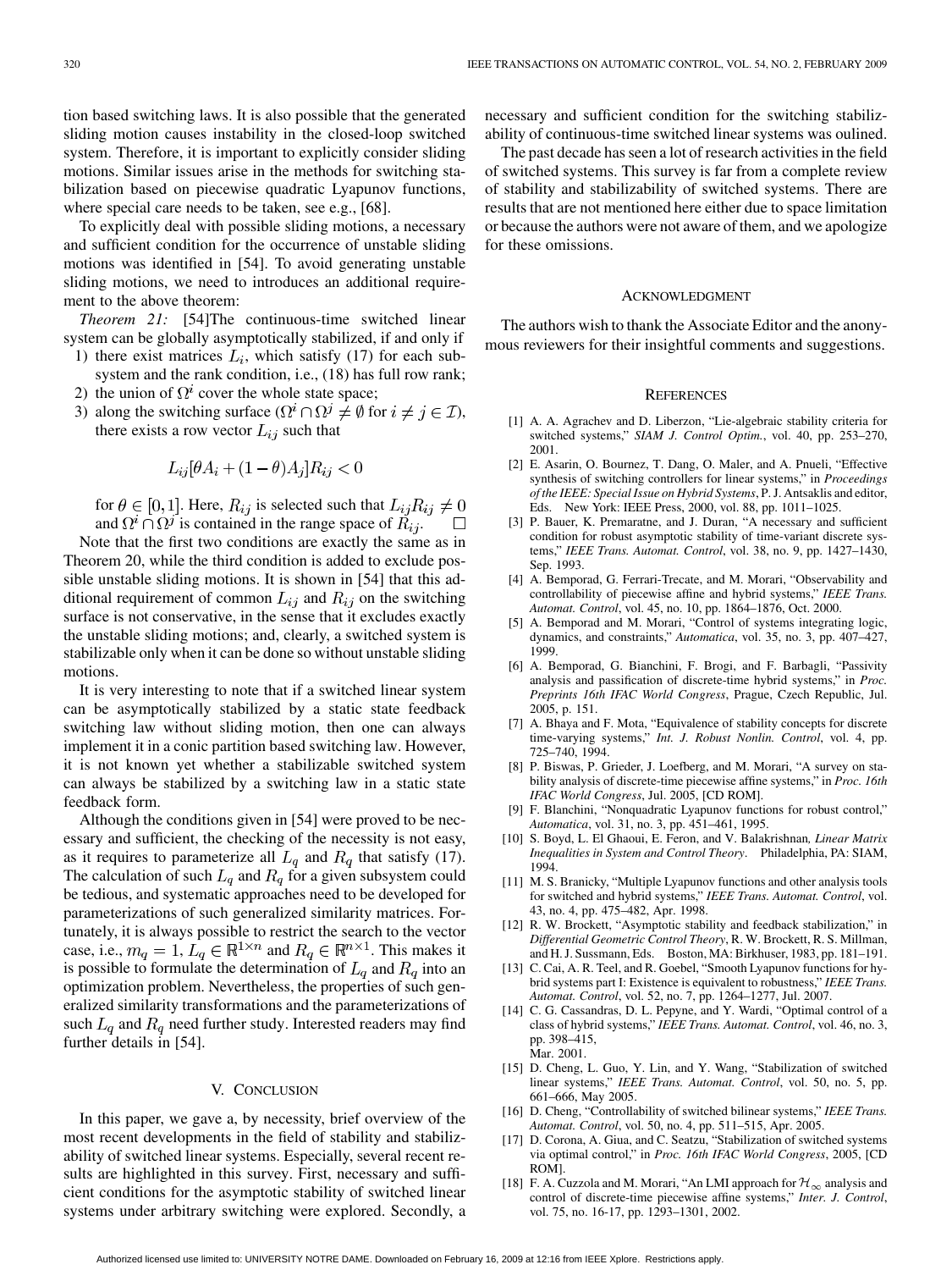tion based switching laws. It is also possible that the generated sliding motion causes instability in the closed-loop switched system. Therefore, it is important to explicitly consider sliding motions. Similar issues arise in the methods for switching stabilization based on piecewise quadratic Lyapunov functions, where special care needs to be taken, see e.g., [68].

To explicitly deal with possible sliding motions, a necessary and sufficient condition for the occurrence of unstable sliding motions was identified in [54]. To avoid generating unstable sliding motions, we need to introduces an additional requirement to the above theorem:

*Theorem 21:* [54]The continuous-time switched linear system can be globally asymptotically stabilized, if and only if

- 1) there exist matrices  $L_i$ , which satisfy (17) for each subsystem and the rank condition, i.e., (18) has full row rank;
- 2) the union of  $\Omega^i$  cover the whole state space;
- 3) along the switching surface  $(\Omega^i \cap \Omega^j \neq \emptyset$  for  $i \neq j \in \mathcal{I}$ , there exists a row vector  $L_{ij}$  such that

$$
L_{ij}[\theta A_i + (1 - \theta)A_j]R_{ij} < 0
$$

for  $\theta \in [0, 1]$ . Here,  $R_{ij}$  is selected such that  $L_{ij}R_{ij} \neq 0$ and  $\Omega^i \cap \Omega^j$  is contained in the range space of  $R_{ij}$ .

Note that the first two conditions are exactly the same as in Theorem 20, while the third condition is added to exclude possible unstable sliding motions. It is shown in [54] that this additional requirement of common  $L_{ij}$  and  $R_{ij}$  on the switching surface is not conservative, in the sense that it excludes exactly the unstable sliding motions; and, clearly, a switched system is stabilizable only when it can be done so without unstable sliding motions.

It is very interesting to note that if a switched linear system can be asymptotically stabilized by a static state feedback switching law without sliding motion, then one can always implement it in a conic partition based switching law. However, it is not known yet whether a stabilizable switched system can always be stabilized by a switching law in a static state feedback form.

Although the conditions given in [54] were proved to be necessary and sufficient, the checking of the necessity is not easy, as it requires to parameterize all  $L_q$  and  $R_q$  that satisfy (17). The calculation of such  $L_q$  and  $R_q$  for a given subsystem could be tedious, and systematic approaches need to be developed for parameterizations of such generalized similarity matrices. Fortunately, it is always possible to restrict the search to the vector case, i.e.,  $m_q = 1$ ,  $L_q \in \mathbb{R}^{1 \times n}$  and  $R_q \in \mathbb{R}^{n \times 1}$ . This makes it is possible to formulate the determination of  $L_q$  and  $R_q$  into an optimization problem. Nevertheless, the properties of such generalized similarity transformations and the parameterizations of such  $L_q$  and  $R_q$  need further study. Interested readers may find further details in [54].

#### V. CONCLUSION

In this paper, we gave a, by necessity, brief overview of the most recent developments in the field of stability and stabilizability of switched linear systems. Especially, several recent results are highlighted in this survey. First, necessary and sufficient conditions for the asymptotic stability of switched linear systems under arbitrary switching were explored. Secondly, a necessary and sufficient condition for the switching stabilizability of continuous-time switched linear systems was oulined.

The past decade has seen a lot of research activities in the field of switched systems. This survey is far from a complete review of stability and stabilizability of switched systems. There are results that are not mentioned here either due to space limitation or because the authors were not aware of them, and we apologize for these omissions.

#### ACKNOWLEDGMENT

The authors wish to thank the Associate Editor and the anonymous reviewers for their insightful comments and suggestions.

#### **REFERENCES**

- [1] A. A. Agrachev and D. Liberzon, "Lie-algebraic stability criteria for switched systems," *SIAM J. Control Optim.*, vol. 40, pp. 253–270, 2001.
- [2] E. Asarin, O. Bournez, T. Dang, O. Maler, and A. Pnueli, "Effective synthesis of switching controllers for linear systems," in *Proceedings of the IEEE: Special Issue on Hybrid Systems*, P. J. Antsaklis and editor, Eds. New York: IEEE Press, 2000, vol. 88, pp. 1011–1025.
- [3] P. Bauer, K. Premaratne, and J. Duran, "A necessary and sufficient condition for robust asymptotic stability of time-variant discrete systems," *IEEE Trans. Automat. Control*, vol. 38, no. 9, pp. 1427–1430, Sep. 1993.
- [4] A. Bemporad, G. Ferrari-Trecate, and M. Morari, "Observability and controllability of piecewise affine and hybrid systems," *IEEE Trans. Automat. Control*, vol. 45, no. 10, pp. 1864–1876, Oct. 2000.
- [5] A. Bemporad and M. Morari, "Control of systems integrating logic, dynamics, and constraints," *Automatica*, vol. 35, no. 3, pp. 407–427, 1999.
- [6] A. Bemporad, G. Bianchini, F. Brogi, and F. Barbagli, "Passivity analysis and passification of discrete-time hybrid systems," in *Proc. Preprints 16th IFAC World Congress*, Prague, Czech Republic, Jul. 2005, p. 151.
- [7] A. Bhaya and F. Mota, "Equivalence of stability concepts for discrete time-varying systems," *Int. J. Robust Nonlin. Control*, vol. 4, pp. 725–740, 1994.
- [8] P. Biswas, P. Grieder, J. Loefberg, and M. Morari, "A survey on stability analysis of discrete-time piecewise affine systems," in *Proc. 16th IFAC World Congress*, Jul. 2005, [CD ROM].
- [9] F. Blanchini, "Nonquadratic Lyapunov functions for robust control," *Automatica*, vol. 31, no. 3, pp. 451–461, 1995.
- [10] S. Boyd, L. El Ghaoui, E. Feron, and V. Balakrishnan*, Linear Matrix Inequalities in System and Control Theory*. Philadelphia, PA: SIAM, 1994.
- [11] M. S. Branicky, "Multiple Lyapunov functions and other analysis tools for switched and hybrid systems," *IEEE Trans. Automat. Control*, vol. 43, no. 4, pp. 475–482, Apr. 1998.
- [12] R. W. Brockett, "Asymptotic stability and feedback stabilization," in *Differential Geometric Control Theory*, R. W. Brockett, R. S. Millman, and H. J. Sussmann, Eds. Boston, MA: Birkhuser, 1983, pp. 181–191.
- [13] C. Cai, A. R. Teel, and R. Goebel, "Smooth Lyapunov functions for hybrid systems part I: Existence is equivalent to robustness," *IEEE Trans. Automat. Control*, vol. 52, no. 7, pp. 1264–1277, Jul. 2007.
- [14] C. G. Cassandras, D. L. Pepyne, and Y. Wardi, "Optimal control of a class of hybrid systems," *IEEE Trans. Automat. Control*, vol. 46, no. 3, pp. 398–415, Mar. 2001.
- [15] D. Cheng, L. Guo, Y. Lin, and Y. Wang, "Stabilization of switched linear systems," *IEEE Trans. Automat. Control*, vol. 50, no. 5, pp. 661–666, May 2005.
- [16] D. Cheng, "Controllability of switched bilinear systems," *IEEE Trans. Automat. Control*, vol. 50, no. 4, pp. 511–515, Apr. 2005.
- [17] D. Corona, A. Giua, and C. Seatzu, "Stabilization of switched systems via optimal control," in *Proc. 16th IFAC World Congress*, 2005, [CD ROM].
- [18] F. A. Cuzzola and M. Morari, "An LMI approach for  $\mathcal{H}_{\infty}$  analysis and control of discrete-time piecewise affine systems," *Inter. J. Control*, vol. 75, no. 16-17, pp. 1293–1301, 2002.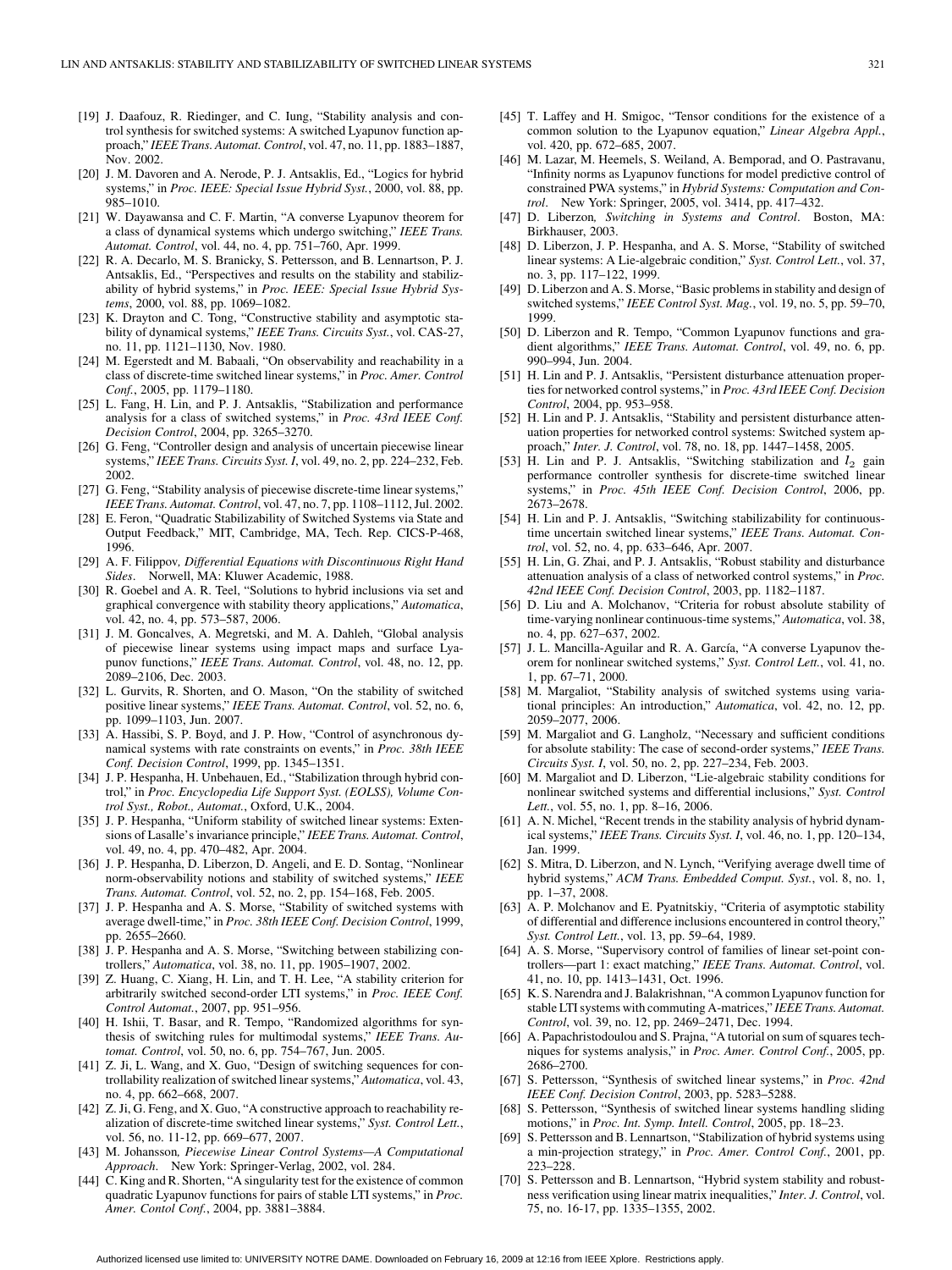- [19] J. Daafouz, R. Riedinger, and C. Iung, "Stability analysis and control synthesis for switched systems: A switched Lyapunov function approach," *IEEE Trans. Automat. Control*, vol. 47, no. 11, pp. 1883–1887, Nov. 2002.
- [20] J. M. Davoren and A. Nerode, P. J. Antsaklis, Ed., "Logics for hybrid systems," in *Proc. IEEE: Special Issue Hybrid Syst.*, 2000, vol. 88, pp. 985–1010.
- [21] W. Dayawansa and C. F. Martin, "A converse Lyapunov theorem for a class of dynamical systems which undergo switching," *IEEE Trans. Automat. Control*, vol. 44, no. 4, pp. 751–760, Apr. 1999.
- [22] R. A. Decarlo, M. S. Branicky, S. Pettersson, and B. Lennartson, P. J. Antsaklis, Ed., "Perspectives and results on the stability and stabilizability of hybrid systems," in *Proc. IEEE: Special Issue Hybrid Systems*, 2000, vol. 88, pp. 1069–1082.
- [23] K. Drayton and C. Tong, "Constructive stability and asymptotic stability of dynamical systems," *IEEE Trans. Circuits Syst.*, vol. CAS-27, no. 11, pp. 1121–1130, Nov. 1980.
- [24] M. Egerstedt and M. Babaali, "On observability and reachability in a class of discrete-time switched linear systems," in *Proc. Amer. Control Conf.*, 2005, pp. 1179–1180.
- [25] L. Fang, H. Lin, and P. J. Antsaklis, "Stabilization and performance analysis for a class of switched systems," in *Proc. 43rd IEEE Conf. Decision Control*, 2004, pp. 3265–3270.
- [26] G. Feng, "Controller design and analysis of uncertain piecewise linear systems," *IEEE Trans. Circuits Syst. I*, vol. 49, no. 2, pp. 224–232, Feb. 2002.
- [27] G. Feng, "Stability analysis of piecewise discrete-time linear systems," *IEEE Trans. Automat. Control*, vol. 47, no. 7, pp. 1108–1112, Jul. 2002.
- [28] E. Feron, "Quadratic Stabilizability of Switched Systems via State and Output Feedback," MIT, Cambridge, MA, Tech. Rep. CICS-P-468, 1996.
- [29] A. F. Filippov*, Differential Equations with Discontinuous Right Hand Sides*. Norwell, MA: Kluwer Academic, 1988.
- [30] R. Goebel and A. R. Teel, "Solutions to hybrid inclusions via set and graphical convergence with stability theory applications," *Automatica*, vol. 42, no. 4, pp. 573–587, 2006.
- [31] J. M. Goncalves, A. Megretski, and M. A. Dahleh, "Global analysis of piecewise linear systems using impact maps and surface Lyapunov functions," *IEEE Trans. Automat. Control*, vol. 48, no. 12, pp. 2089–2106, Dec. 2003.
- [32] L. Gurvits, R. Shorten, and O. Mason, "On the stability of switched positive linear systems," *IEEE Trans. Automat. Control*, vol. 52, no. 6, pp. 1099–1103, Jun. 2007.
- [33] A. Hassibi, S. P. Boyd, and J. P. How, "Control of asynchronous dynamical systems with rate constraints on events," in *Proc. 38th IEEE Conf. Decision Control*, 1999, pp. 1345–1351.
- [34] J. P. Hespanha, H. Unbehauen, Ed., "Stabilization through hybrid control," in *Proc. Encyclopedia Life Support Syst. (EOLSS), Volume Control Syst., Robot., Automat.*, Oxford, U.K., 2004.
- [35] J. P. Hespanha, "Uniform stability of switched linear systems: Extensions of Lasalle's invariance principle," *IEEE Trans. Automat. Control*, vol. 49, no. 4, pp. 470–482, Apr. 2004.
- [36] J. P. Hespanha, D. Liberzon, D. Angeli, and E. D. Sontag, "Nonlinear norm-observability notions and stability of switched systems," *IEEE Trans. Automat. Control*, vol. 52, no. 2, pp. 154–168, Feb. 2005.
- [37] J. P. Hespanha and A. S. Morse, "Stability of switched systems with average dwell-time," in *Proc. 38th IEEE Conf. Decision Control*, 1999, pp. 2655–2660.
- [38] J. P. Hespanha and A. S. Morse, "Switching between stabilizing controllers," *Automatica*, vol. 38, no. 11, pp. 1905–1907, 2002.
- [39] Z. Huang, C. Xiang, H. Lin, and T. H. Lee, "A stability criterion for arbitrarily switched second-order LTI systems," in *Proc. IEEE Conf. Control Automat.*, 2007, pp. 951–956.
- [40] H. Ishii, T. Basar, and R. Tempo, "Randomized algorithms for synthesis of switching rules for multimodal systems," *IEEE Trans. Automat. Control*, vol. 50, no. 6, pp. 754–767, Jun. 2005.
- [41] Z. Ji, L. Wang, and X. Guo, "Design of switching sequences for controllability realization of switched linear systems," *Automatica*, vol. 43, no. 4, pp. 662–668, 2007.
- [42] Z. Ji, G. Feng, and X. Guo, "A constructive approach to reachability realization of discrete-time switched linear systems," *Syst. Control Lett.*, vol. 56, no. 11-12, pp. 669–677, 2007.
- [43] M. Johansson*, Piecewise Linear Control Systems—A Computational Approach*. New York: Springer-Verlag, 2002, vol. 284.
- [44] C. King and R. Shorten, "A singularity test for the existence of common quadratic Lyapunov functions for pairs of stable LTI systems," in *Proc. Amer. Contol Conf.*, 2004, pp. 3881–3884.
- [45] T. Laffey and H. Smigoc, "Tensor conditions for the existence of a common solution to the Lyapunov equation," *Linear Algebra Appl.*, vol. 420, pp. 672–685, 2007.
- [46] M. Lazar, M. Heemels, S. Weiland, A. Bemporad, and O. Pastravanu, "Infinity norms as Lyapunov functions for model predictive control of constrained PWA systems," in *Hybrid Systems: Computation and Control*. New York: Springer, 2005, vol. 3414, pp. 417–432.
- [47] D. Liberzon*, Switching in Systems and Control*. Boston, MA: Birkhauser, 2003.
- [48] D. Liberzon, J. P. Hespanha, and A. S. Morse, "Stability of switched linear systems: A Lie-algebraic condition," *Syst. Control Lett.*, vol. 37, no. 3, pp. 117–122, 1999.
- [49] D. Liberzon and A. S. Morse, "Basic problems in stability and design of switched systems," *IEEE Control Syst. Mag.*, vol. 19, no. 5, pp. 59–70, 1999.
- [50] D. Liberzon and R. Tempo, "Common Lyapunov functions and gradient algorithms," *IEEE Trans. Automat. Control*, vol. 49, no. 6, pp. 990–994, Jun. 2004.
- [51] H. Lin and P. J. Antsaklis, "Persistent disturbance attenuation properties for networked control systems," in *Proc. 43rd IEEE Conf. Decision Control*, 2004, pp. 953–958.
- [52] H. Lin and P. J. Antsaklis, "Stability and persistent disturbance attenuation properties for networked control systems: Switched system approach," *Inter. J. Control*, vol. 78, no. 18, pp. 1447–1458, 2005.
- [53] H. Lin and P. J. Antsaklis, "Switching stabilization and  $l_2$  gain performance controller synthesis for discrete-time switched linear systems," in *Proc. 45th IEEE Conf. Decision Control*, 2006, pp. 2673–2678.
- [54] H. Lin and P. J. Antsaklis, "Switching stabilizability for continuoustime uncertain switched linear systems," *IEEE Trans. Automat. Control*, vol. 52, no. 4, pp. 633–646, Apr. 2007.
- [55] H. Lin, G. Zhai, and P. J. Antsaklis, "Robust stability and disturbance attenuation analysis of a class of networked control systems," in *Proc. 42nd IEEE Conf. Decision Control*, 2003, pp. 1182–1187.
- [56] D. Liu and A. Molchanov, "Criteria for robust absolute stability of time-varying nonlinear continuous-time systems," *Automatica*, vol. 38, no. 4, pp. 627–637, 2002.
- [57] J. L. Mancilla-Aguilar and R. A. García, "A converse Lyapunov theorem for nonlinear switched systems," *Syst. Control Lett.*, vol. 41, no. 1, pp. 67–71, 2000.
- [58] M. Margaliot, "Stability analysis of switched systems using variational principles: An introduction," *Automatica*, vol. 42, no. 12, pp. 2059–2077, 2006.
- [59] M. Margaliot and G. Langholz, "Necessary and sufficient conditions for absolute stability: The case of second-order systems," *IEEE Trans. Circuits Syst. I*, vol. 50, no. 2, pp. 227–234, Feb. 2003.
- [60] M. Margaliot and D. Liberzon, "Lie-algebraic stability conditions for nonlinear switched systems and differential inclusions," *Syst. Control Lett.*, vol. 55, no. 1, pp. 8–16, 2006.
- [61] A. N. Michel, "Recent trends in the stability analysis of hybrid dynamical systems," *IEEE Trans. Circuits Syst. I*, vol. 46, no. 1, pp. 120–134, Jan. 1999.
- [62] S. Mitra, D. Liberzon, and N. Lynch, "Verifying average dwell time of hybrid systems," *ACM Trans. Embedded Comput. Syst.*, vol. 8, no. 1, pp. 1–37, 2008.
- [63] A. P. Molchanov and E. Pyatnitskiy, "Criteria of asymptotic stability of differential and difference inclusions encountered in control theory,' *Syst. Control Lett.*, vol. 13, pp. 59–64, 1989.
- [64] A. S. Morse, "Supervisory control of families of linear set-point controllers—part 1: exact matching," *IEEE Trans. Automat. Control*, vol. 41, no. 10, pp. 1413–1431, Oct. 1996.
- [65] K. S. Narendra and J. Balakrishnan, "A common Lyapunov function for stable LTI systems with commuting A-matrices," *IEEE Trans. Automat. Control*, vol. 39, no. 12, pp. 2469–2471, Dec. 1994.
- [66] A. Papachristodoulou and S. Prajna, "A tutorial on sum of squares techniques for systems analysis," in *Proc. Amer. Control Conf.*, 2005, pp. 2686–2700.
- [67] S. Pettersson, "Synthesis of switched linear systems," in *Proc. 42nd IEEE Conf. Decision Control*, 2003, pp. 5283–5288.
- [68] S. Pettersson, "Synthesis of switched linear systems handling sliding motions," in *Proc. Int. Symp. Intell. Control*, 2005, pp. 18–23.
- [69] S. Pettersson and B. Lennartson, "Stabilization of hybrid systems using a min-projection strategy," in *Proc. Amer. Control Conf.*, 2001, pp. 223–228.
- [70] S. Pettersson and B. Lennartson, "Hybrid system stability and robustness verification using linear matrix inequalities," *Inter. J. Control*, vol. 75, no. 16-17, pp. 1335–1355, 2002.